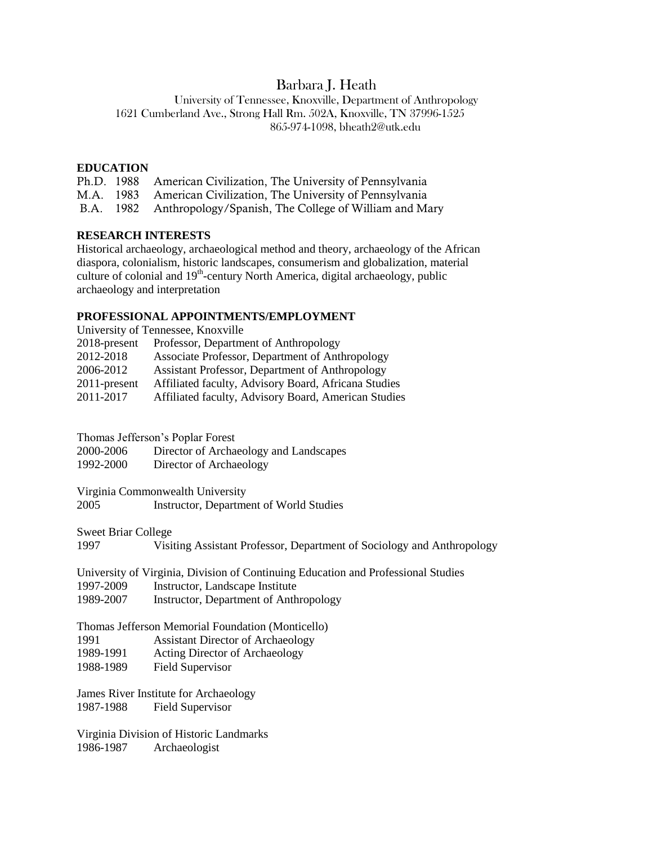# Barbara J. Heath

University of Tennessee, Knoxville, Department of Anthropology 1621 Cumberland Ave., Strong Hall Rm. 502A, Knoxville, TN 37996-1525 865-974-1098, bheath2@utk.edu

### **EDUCATION**

|  | Ph.D. 1988 American Civilization, The University of Pennsylvania |
|--|------------------------------------------------------------------|
|  | M.A. 1983 American Civilization, The University of Pennsylvania  |
|  | B.A. 1982 Anthropology/Spanish, The College of William and Mary  |

#### **RESEARCH INTERESTS**

Historical archaeology, archaeological method and theory, archaeology of the African diaspora, colonialism, historic landscapes, consumerism and globalization, material culture of colonial and 19<sup>th</sup>-century North America, digital archaeology, public archaeology and interpretation

## **PROFESSIONAL APPOINTMENTS/EMPLOYMENT**

| University of Tennessee, Knoxville |                                                      |  |  |  |
|------------------------------------|------------------------------------------------------|--|--|--|
| 2018-present                       | Professor, Department of Anthropology                |  |  |  |
| 2012-2018                          | Associate Professor, Department of Anthropology      |  |  |  |
| 2006-2012                          | Assistant Professor, Department of Anthropology      |  |  |  |
| $2011$ -present                    | Affiliated faculty, Advisory Board, Africana Studies |  |  |  |
| 2011-2017                          | Affiliated faculty, Advisory Board, American Studies |  |  |  |
|                                    |                                                      |  |  |  |

Thomas Jefferson's Poplar Forest

2000-2006 Director of Archaeology and Landscapes<br>1992-2000 Director of Archaeology

Director of Archaeology

Virginia Commonwealth University

2005 Instructor, Department of World Studies

Sweet Briar College<br>1997 Visi

Visiting Assistant Professor, Department of Sociology and Anthropology

University of Virginia, Division of Continuing Education and Professional Studies

- 1997-2009 Instructor, Landscape Institute
- 1989-2007 Instructor, Department of Anthropology

Thomas Jefferson Memorial Foundation (Monticello)

1991 Assistant Director of Archaeology

- 1989-1991 Acting Director of Archaeology
- 1988-1989 Field Supervisor

James River Institute for Archaeology 1987-1988 Field Supervisor

Virginia Division of Historic Landmarks 1986-1987 Archaeologist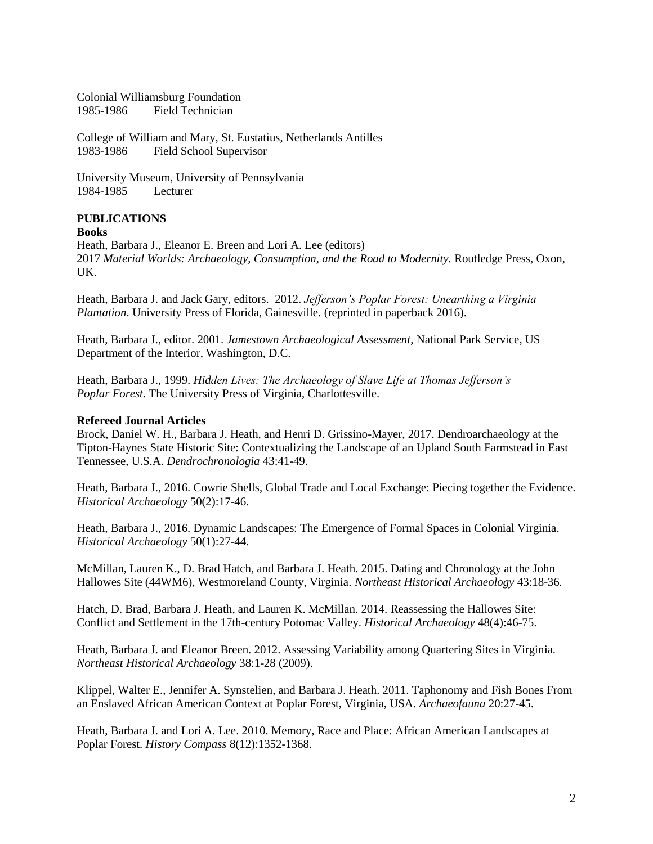Colonial Williamsburg Foundation 1985-1986 Field Technician

College of William and Mary, St. Eustatius, Netherlands Antilles 1983-1986 Field School Supervisor

University Museum, University of Pennsylvania 1984-1985 Lecturer

# **PUBLICATIONS**

#### **Books**

Heath, Barbara J., Eleanor E. Breen and Lori A. Lee (editors) 2017 *Material Worlds: Archaeology, Consumption, and the Road to Modernity.* Routledge Press, Oxon, UK.

Heath, Barbara J. and Jack Gary, editors. 2012. *Jefferson's Poplar Forest: Unearthing a Virginia Plantation*. University Press of Florida, Gainesville. (reprinted in paperback 2016).

Heath, Barbara J., editor. 2001. *Jamestown Archaeological Assessment,* National Park Service, US Department of the Interior, Washington, D.C.

Heath, Barbara J., 1999. *Hidden Lives: The Archaeology of Slave Life at Thomas Jefferson's Poplar Forest.* The University Press of Virginia, Charlottesville.

## **Refereed Journal Articles**

Brock, Daniel W. H., Barbara J. Heath, and Henri D. Grissino-Mayer, 2017. Dendroarchaeology at the Tipton-Haynes State Historic Site: Contextualizing the Landscape of an Upland South Farmstead in East Tennessee, U.S.A. *Dendrochronologia* 43:41-49.

Heath, Barbara J., 2016. Cowrie Shells, Global Trade and Local Exchange: Piecing together the Evidence. *Historical Archaeology* 50(2):17-46.

Heath, Barbara J., 2016. Dynamic Landscapes: The Emergence of Formal Spaces in Colonial Virginia. *Historical Archaeology* 50(1):27-44.

McMillan, Lauren K., D. Brad Hatch, and Barbara J. Heath. 2015. Dating and Chronology at the John Hallowes Site (44WM6), Westmoreland County, Virginia. *Northeast Historical Archaeology* 43:18-36*.*

Hatch, D. Brad, Barbara J. Heath, and Lauren K. McMillan. 2014. Reassessing the Hallowes Site: Conflict and Settlement in the 17th-century Potomac Valley. *Historical Archaeology* 48(4):46-75.

Heath, Barbara J. and Eleanor Breen. 2012. Assessing Variability among Quartering Sites in Virginia. *Northeast Historical Archaeology* 38:1-28 (2009).

Klippel, Walter E., Jennifer A. Synstelien, and Barbara J. Heath. 2011. Taphonomy and Fish Bones From an Enslaved African American Context at Poplar Forest, Virginia, USA. *Archaeofauna* 20:27-45.

Heath, Barbara J. and Lori A. Lee. 2010. Memory, Race and Place: African American Landscapes at Poplar Forest. *History Compass* 8(12):1352-1368.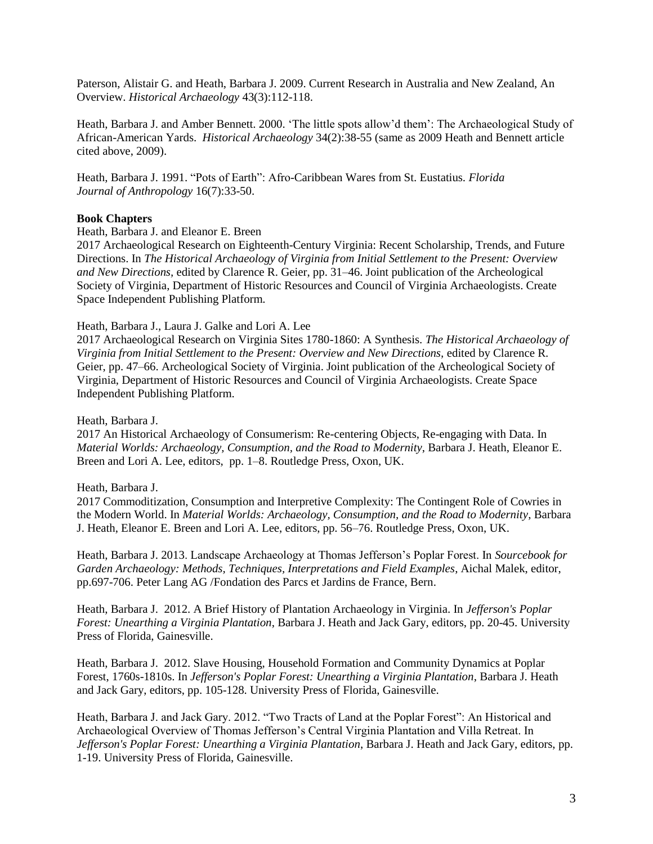Paterson, Alistair G. and Heath, Barbara J. 2009. Current Research in Australia and New Zealand, An Overview. *Historical Archaeology* 43(3):112-118.

Heath, Barbara J. and Amber Bennett. 2000. 'The little spots allow'd them': The Archaeological Study of African-American Yards. *Historical Archaeology* 34(2):38-55 (same as 2009 Heath and Bennett article cited above, 2009).

Heath, Barbara J. 1991. "Pots of Earth": Afro-Caribbean Wares from St. Eustatius. *Florida Journal of Anthropology* 16(7):33-50.

## **Book Chapters**

Heath, Barbara J. and Eleanor E. Breen

2017 Archaeological Research on Eighteenth-Century Virginia: Recent Scholarship, Trends, and Future Directions. In *The Historical Archaeology of Virginia from Initial Settlement to the Present: Overview and New Directions,* edited by Clarence R. Geier, pp. 31–46. Joint publication of the Archeological Society of Virginia, Department of Historic Resources and Council of Virginia Archaeologists. Create Space Independent Publishing Platform.

Heath, Barbara J., Laura J. Galke and Lori A. Lee

2017 Archaeological Research on Virginia Sites 1780-1860: A Synthesis. *The Historical Archaeology of Virginia from Initial Settlement to the Present: Overview and New Directions,* edited by Clarence R. Geier, pp. 47–66. Archeological Society of Virginia. Joint publication of the Archeological Society of Virginia, Department of Historic Resources and Council of Virginia Archaeologists. Create Space Independent Publishing Platform.

Heath, Barbara J.

2017 An Historical Archaeology of Consumerism: Re-centering Objects, Re-engaging with Data. In *Material Worlds: Archaeology, Consumption, and the Road to Modernity*, Barbara J. Heath, Eleanor E. Breen and Lori A. Lee, editors, pp. 1–8. Routledge Press, Oxon, UK.

Heath, Barbara J.

2017 Commoditization, Consumption and Interpretive Complexity: The Contingent Role of Cowries in the Modern World. In *Material Worlds: Archaeology, Consumption, and the Road to Modernity*, Barbara J. Heath, Eleanor E. Breen and Lori A. Lee, editors, pp. 56–76. Routledge Press, Oxon, UK.

Heath, Barbara J. 2013. Landscape Archaeology at Thomas Jefferson's Poplar Forest. In *Sourcebook for Garden Archaeology: Methods, Techniques, Interpretations and Field Examples*, Aichal Malek, editor, pp.697-706. Peter Lang AG /Fondation des Parcs et Jardins de France, Bern.

Heath, Barbara J. 2012. A Brief History of Plantation Archaeology in Virginia. In *Jefferson's Poplar Forest: Unearthing a Virginia Plantation*, Barbara J. Heath and Jack Gary, editors, pp. 20-45. University Press of Florida, Gainesville.

Heath, Barbara J. 2012. Slave Housing, Household Formation and Community Dynamics at Poplar Forest, 1760s-1810s. In *Jefferson's Poplar Forest: Unearthing a Virginia Plantation*, Barbara J. Heath and Jack Gary, editors, pp. 105-128. University Press of Florida, Gainesville.

Heath, Barbara J. and Jack Gary. 2012. "Two Tracts of Land at the Poplar Forest": An Historical and Archaeological Overview of Thomas Jefferson's Central Virginia Plantation and Villa Retreat. In *Jefferson's Poplar Forest: Unearthing a Virginia Plantation*, Barbara J. Heath and Jack Gary, editors, pp. 1-19. University Press of Florida, Gainesville.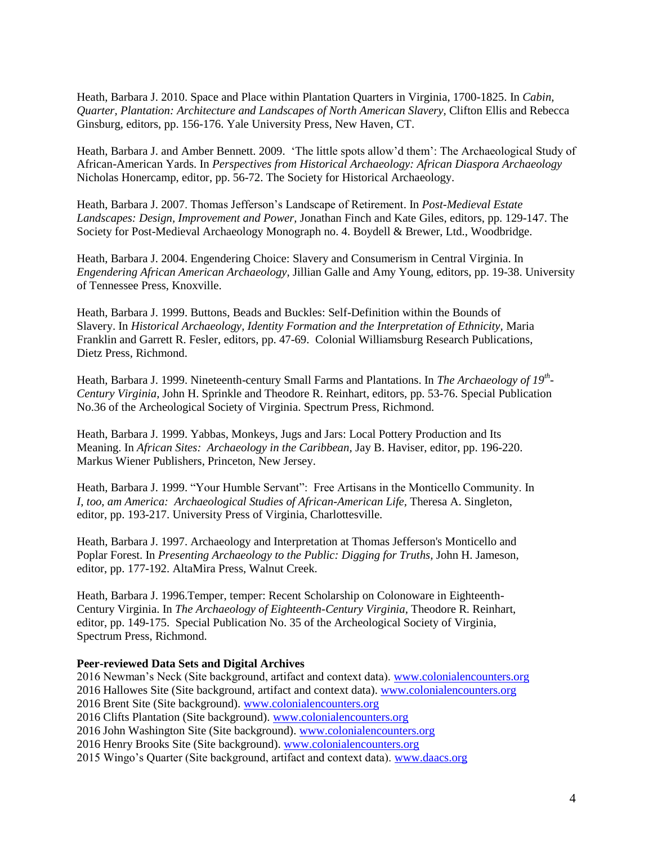Heath, Barbara J. 2010. Space and Place within Plantation Quarters in Virginia, 1700-1825. In *Cabin, Quarter, Plantation: Architecture and Landscapes of North American Slavery,* Clifton Ellis and Rebecca Ginsburg, editors, pp. 156-176. Yale University Press, New Haven, CT.

Heath, Barbara J. and Amber Bennett. 2009. 'The little spots allow'd them': The Archaeological Study of African-American Yards. In *Perspectives from Historical Archaeology: African Diaspora Archaeology* Nicholas Honercamp, editor, pp. 56-72. The Society for Historical Archaeology.

Heath, Barbara J. 2007. Thomas Jefferson's Landscape of Retirement. In *Post-Medieval Estate Landscapes: Design, Improvement and Power,* Jonathan Finch and Kate Giles, editors, pp. 129-147. The Society for Post-Medieval Archaeology Monograph no. 4. Boydell & Brewer, Ltd., Woodbridge.

Heath, Barbara J. 2004. Engendering Choice: Slavery and Consumerism in Central Virginia. In *Engendering African American Archaeology,* Jillian Galle and Amy Young, editors, pp. 19-38. University of Tennessee Press, Knoxville.

Heath, Barbara J. 1999. Buttons, Beads and Buckles: Self-Definition within the Bounds of Slavery. In *Historical Archaeology, Identity Formation and the Interpretation of Ethnicity,* Maria Franklin and Garrett R. Fesler, editors, pp. 47-69. Colonial Williamsburg Research Publications, Dietz Press, Richmond.

Heath, Barbara J. 1999. Nineteenth-century Small Farms and Plantations. In *The Archaeology of 19th - Century Virginia,* John H. Sprinkle and Theodore R. Reinhart, editors, pp. 53-76. Special Publication No.36 of the Archeological Society of Virginia. Spectrum Press, Richmond.

Heath, Barbara J. 1999. Yabbas, Monkeys, Jugs and Jars: Local Pottery Production and Its Meaning. In *African Sites: Archaeology in the Caribbean,* Jay B. Haviser, editor, pp. 196-220. Markus Wiener Publishers, Princeton, New Jersey.

Heath, Barbara J. 1999. "Your Humble Servant": Free Artisans in the Monticello Community. In *I, too, am America: Archaeological Studies of African-American Life,* Theresa A. Singleton, editor, pp. 193-217. University Press of Virginia, Charlottesville.

Heath, Barbara J. 1997. Archaeology and Interpretation at Thomas Jefferson's Monticello and Poplar Forest. In *Presenting Archaeology to the Public: Digging for Truths,* John H. Jameson, editor, pp. 177-192. AltaMira Press, Walnut Creek.

Heath, Barbara J. 1996.Temper, temper: Recent Scholarship on Colonoware in Eighteenth-Century Virginia. In *The Archaeology of Eighteenth-Century Virginia,* Theodore R. Reinhart, editor, pp. 149-175. Special Publication No. 35 of the Archeological Society of Virginia, Spectrum Press, Richmond.

#### **Peer-reviewed Data Sets and Digital Archives**

2016 Newman's Neck (Site background, artifact and context data). [www.colonialencounters.org](http://www.colonialencounters.org/) 2016 Hallowes Site (Site background, artifact and context data). [www.colonialencounters.org](http://www.colonialencounters.org/) 2016 Brent Site (Site background). [www.colonialencounters.org](http://www.colonialencounters.org/) 2016 Clifts Plantation (Site background). [www.colonialencounters.org](http://www.colonialencounters.org/) 2016 John Washington Site (Site background). [www.colonialencounters.org](http://www.colonialencounters.org/) 2016 Henry Brooks Site (Site background). [www.colonialencounters.org](http://www.colonialencounters.org/) 2015 Wingo's Quarter (Site background, artifact and context data). [www.daacs.org](http://www.daacs.org/)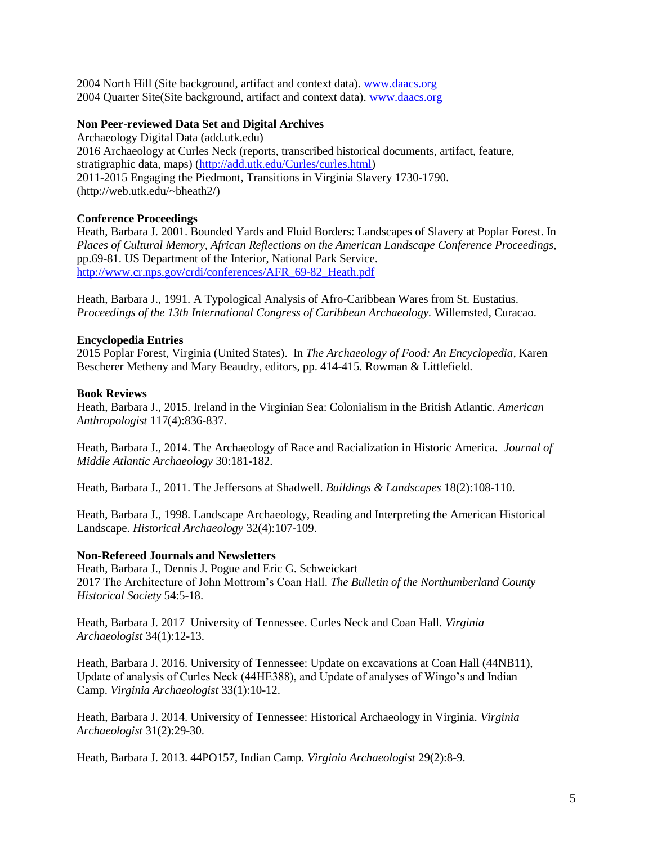2004 North Hill (Site background, artifact and context data). [www.daacs.org](http://www.daacs.org/) 2004 Quarter Site(Site background, artifact and context data). [www.daacs.org](http://www.daacs.org/)

## **Non Peer-reviewed Data Set and Digital Archives**

Archaeology Digital Data (add.utk.edu) 2016 Archaeology at Curles Neck (reports, transcribed historical documents, artifact, feature, stratigraphic data, maps) [\(http://add.utk.edu/Curles/curles.html\)](http://add.utk.edu/Curles/curles.html) 2011-2015 Engaging the Piedmont, Transitions in Virginia Slavery 1730-1790. (http://web.utk.edu/~bheath2/)

## **Conference Proceedings**

Heath, Barbara J. 2001. Bounded Yards and Fluid Borders: Landscapes of Slavery at Poplar Forest. In *Places of Cultural Memory, African Reflections on the American Landscape Conference Proceedings,* pp.69-81. US Department of the Interior, National Park Service. [http://www.cr.nps.gov/crdi/conferences/AFR\\_69-82\\_Heath.pdf](http://www.cr.nps.gov/crdi/conferences/AFR_69-82_Heath.pdf) 

Heath, Barbara J., 1991. A Typological Analysis of Afro-Caribbean Wares from St. Eustatius. *Proceedings of the 13th International Congress of Caribbean Archaeology.* Willemsted, Curacao.

## **Encyclopedia Entries**

2015 Poplar Forest, Virginia (United States). In *The Archaeology of Food: An Encyclopedia,* Karen Bescherer Metheny and Mary Beaudry, editors, pp. 414-415*.* Rowman & Littlefield.

## **Book Reviews**

Heath, Barbara J., 2015. Ireland in the Virginian Sea: Colonialism in the British Atlantic. *American Anthropologist* 117(4):836-837.

Heath, Barbara J., 2014. The Archaeology of Race and Racialization in Historic America. *Journal of Middle Atlantic Archaeology* 30:181-182.

Heath, Barbara J., 2011. The Jeffersons at Shadwell. *Buildings & Landscapes* 18(2):108-110.

Heath, Barbara J., 1998. Landscape Archaeology, Reading and Interpreting the American Historical Landscape. *Historical Archaeology* 32(4):107-109.

## **Non-Refereed Journals and Newsletters**

Heath, Barbara J., Dennis J. Pogue and Eric G. Schweickart 2017 The Architecture of John Mottrom's Coan Hall. *The Bulletin of the Northumberland County Historical Society* 54:5-18.

Heath, Barbara J. 2017 University of Tennessee. Curles Neck and Coan Hall. *Virginia Archaeologist* 34(1):12-13.

Heath, Barbara J. 2016. University of Tennessee: Update on excavations at Coan Hall (44NB11), Update of analysis of Curles Neck (44HE388), and Update of analyses of Wingo's and Indian Camp. *Virginia Archaeologist* 33(1):10-12.

Heath, Barbara J. 2014. University of Tennessee: Historical Archaeology in Virginia. *Virginia Archaeologist* 31(2):29-30.

Heath, Barbara J. 2013. 44PO157, Indian Camp. *Virginia Archaeologist* 29(2):8-9.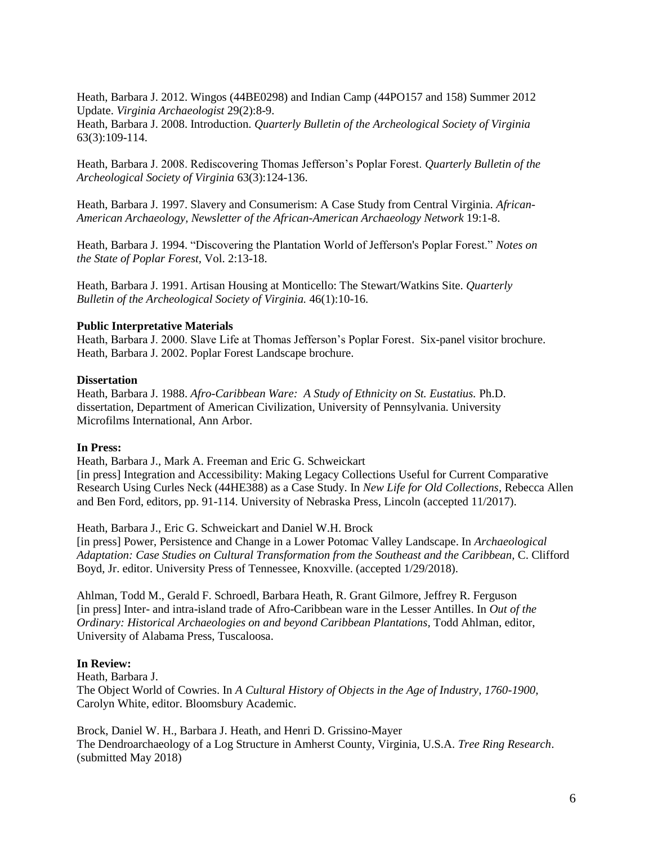Heath, Barbara J. 2012. Wingos (44BE0298) and Indian Camp (44PO157 and 158) Summer 2012 Update. *Virginia Archaeologist* 29(2):8-9.

Heath, Barbara J. 2008. Introduction. *Quarterly Bulletin of the Archeological Society of Virginia* 63(3):109-114.

Heath, Barbara J. 2008. Rediscovering Thomas Jefferson's Poplar Forest. *Quarterly Bulletin of the Archeological Society of Virginia* 63(3):124-136.

Heath, Barbara J. 1997. Slavery and Consumerism: A Case Study from Central Virginia. *African-American Archaeology, Newsletter of the African-American Archaeology Network* 19:1-8.

Heath, Barbara J. 1994. "Discovering the Plantation World of Jefferson's Poplar Forest." *Notes on the State of Poplar Forest,* Vol. 2:13-18.

Heath, Barbara J. 1991. Artisan Housing at Monticello: The Stewart/Watkins Site. *Quarterly Bulletin of the Archeological Society of Virginia.* 46(1):10-16.

#### **Public Interpretative Materials**

Heath, Barbara J. 2000. Slave Life at Thomas Jefferson's Poplar Forest. Six-panel visitor brochure. Heath, Barbara J. 2002. Poplar Forest Landscape brochure.

#### **Dissertation**

Heath, Barbara J. 1988. *Afro-Caribbean Ware: A Study of Ethnicity on St. Eustatius.* Ph.D. dissertation, Department of American Civilization, University of Pennsylvania. University Microfilms International, Ann Arbor.

#### **In Press:**

Heath, Barbara J., Mark A. Freeman and Eric G. Schweickart

[in press] Integration and Accessibility: Making Legacy Collections Useful for Current Comparative Research Using Curles Neck (44HE388) as a Case Study. In *New Life for Old Collections*, Rebecca Allen and Ben Ford, editors, pp. 91-114. University of Nebraska Press, Lincoln (accepted 11/2017).

Heath, Barbara J., Eric G. Schweickart and Daniel W.H. Brock

[in press] Power, Persistence and Change in a Lower Potomac Valley Landscape. In *Archaeological Adaptation: Case Studies on Cultural Transformation from the Southeast and the Caribbean,* C. Clifford Boyd, Jr. editor. University Press of Tennessee, Knoxville. (accepted 1/29/2018).

Ahlman, Todd M., Gerald F. Schroedl, Barbara Heath, R. Grant Gilmore, Jeffrey R. Ferguson [in press] Inter- and intra-island trade of Afro-Caribbean ware in the Lesser Antilles. In *Out of the Ordinary: Historical Archaeologies on and beyond Caribbean Plantations,* Todd Ahlman, editor, University of Alabama Press, Tuscaloosa.

## **In Review:**

Heath, Barbara J. The Object World of Cowries. In *A Cultural History of Objects in the Age of Industry, 1760-1900,* Carolyn White, editor. Bloomsbury Academic.

Brock, Daniel W. H., Barbara J. Heath, and Henri D. Grissino-Mayer The Dendroarchaeology of a Log Structure in Amherst County, Virginia, U.S.A. *Tree Ring Research*. (submitted May 2018)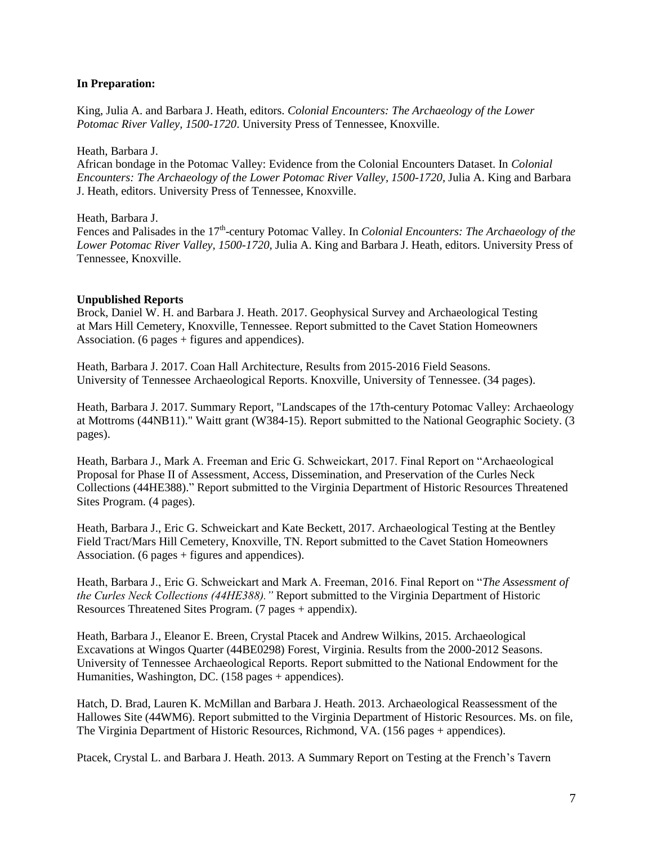### **In Preparation:**

King, Julia A. and Barbara J. Heath, editors. *Colonial Encounters: The Archaeology of the Lower Potomac River Valley, 1500-1720*. University Press of Tennessee, Knoxville.

#### Heath, Barbara J.

African bondage in the Potomac Valley: Evidence from the Colonial Encounters Dataset. In *Colonial Encounters: The Archaeology of the Lower Potomac River Valley, 1500-1720,* Julia A. King and Barbara J. Heath, editors. University Press of Tennessee, Knoxville.

#### Heath, Barbara J.

Fences and Palisades in the 17<sup>th</sup>-century Potomac Valley. In *Colonial Encounters: The Archaeology of the Lower Potomac River Valley, 1500-1720,* Julia A. King and Barbara J. Heath, editors. University Press of Tennessee, Knoxville.

## **Unpublished Reports**

Brock, Daniel W. H. and Barbara J. Heath. 2017. Geophysical Survey and Archaeological Testing at Mars Hill Cemetery, Knoxville, Tennessee. Report submitted to the Cavet Station Homeowners Association. (6 pages + figures and appendices).

Heath, Barbara J. 2017. Coan Hall Architecture, Results from 2015-2016 Field Seasons. University of Tennessee Archaeological Reports. Knoxville, University of Tennessee. (34 pages).

Heath, Barbara J. 2017. Summary Report, "Landscapes of the 17th-century Potomac Valley: Archaeology at Mottroms (44NB11)." Waitt grant (W384-15). Report submitted to the National Geographic Society. (3 pages).

Heath, Barbara J., Mark A. Freeman and Eric G. Schweickart, 2017. Final Report on "Archaeological Proposal for Phase II of Assessment, Access, Dissemination, and Preservation of the Curles Neck Collections (44HE388)." Report submitted to the Virginia Department of Historic Resources Threatened Sites Program. (4 pages).

Heath, Barbara J., Eric G. Schweickart and Kate Beckett, 2017. Archaeological Testing at the Bentley Field Tract/Mars Hill Cemetery, Knoxville, TN. Report submitted to the Cavet Station Homeowners Association. (6 pages + figures and appendices).

Heath, Barbara J., Eric G. Schweickart and Mark A. Freeman, 2016. Final Report on "*The Assessment of the Curles Neck Collections (44HE388)."* Report submitted to the Virginia Department of Historic Resources Threatened Sites Program. (7 pages + appendix).

Heath, Barbara J., Eleanor E. Breen, Crystal Ptacek and Andrew Wilkins, 2015. Archaeological Excavations at Wingos Quarter (44BE0298) Forest, Virginia. Results from the 2000-2012 Seasons. University of Tennessee Archaeological Reports. Report submitted to the National Endowment for the Humanities, Washington, DC. (158 pages + appendices).

Hatch, D. Brad, Lauren K. McMillan and Barbara J. Heath. 2013. Archaeological Reassessment of the Hallowes Site (44WM6). Report submitted to the Virginia Department of Historic Resources. Ms. on file, The Virginia Department of Historic Resources, Richmond, VA. (156 pages + appendices).

Ptacek, Crystal L. and Barbara J. Heath. 2013. A Summary Report on Testing at the French's Tavern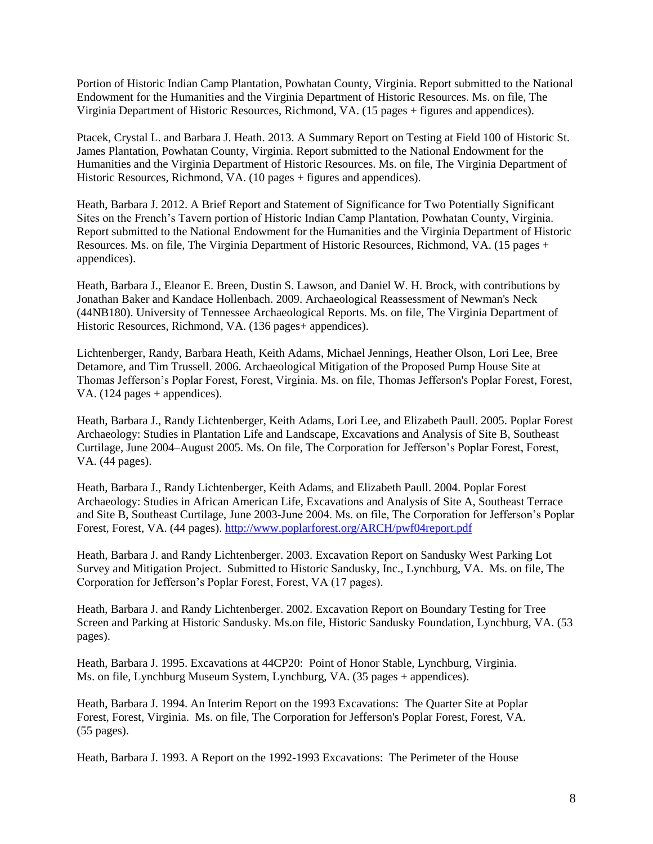Portion of Historic Indian Camp Plantation, Powhatan County, Virginia. Report submitted to the National Endowment for the Humanities and the Virginia Department of Historic Resources. Ms. on file, The Virginia Department of Historic Resources, Richmond, VA. (15 pages + figures and appendices).

Ptacek, Crystal L. and Barbara J. Heath. 2013. A Summary Report on Testing at Field 100 of Historic St. James Plantation, Powhatan County, Virginia. Report submitted to the National Endowment for the Humanities and the Virginia Department of Historic Resources. Ms. on file, The Virginia Department of Historic Resources, Richmond, VA. (10 pages + figures and appendices).

Heath, Barbara J. 2012. A Brief Report and Statement of Significance for Two Potentially Significant Sites on the French's Tavern portion of Historic Indian Camp Plantation, Powhatan County, Virginia. Report submitted to the National Endowment for the Humanities and the Virginia Department of Historic Resources. Ms. on file, The Virginia Department of Historic Resources, Richmond, VA. (15 pages + appendices).

Heath, Barbara J., Eleanor E. Breen, Dustin S. Lawson, and Daniel W. H. Brock, with contributions by Jonathan Baker and Kandace Hollenbach. 2009. Archaeological Reassessment of Newman's Neck (44NB180). University of Tennessee Archaeological Reports. Ms. on file, The Virginia Department of Historic Resources, Richmond, VA. (136 pages+ appendices).

Lichtenberger, Randy, Barbara Heath, Keith Adams, Michael Jennings, Heather Olson, Lori Lee, Bree Detamore, and Tim Trussell. 2006. Archaeological Mitigation of the Proposed Pump House Site at Thomas Jefferson's Poplar Forest, Forest, Virginia. Ms. on file, Thomas Jefferson's Poplar Forest, Forest, VA. (124 pages + appendices).

Heath, Barbara J., Randy Lichtenberger, Keith Adams, Lori Lee, and Elizabeth Paull. 2005. Poplar Forest Archaeology: Studies in Plantation Life and Landscape, Excavations and Analysis of Site B, Southeast Curtilage, June 2004–August 2005. Ms. On file, The Corporation for Jefferson's Poplar Forest, Forest, VA. (44 pages).

Heath, Barbara J., Randy Lichtenberger, Keith Adams, and Elizabeth Paull. 2004. Poplar Forest Archaeology: Studies in African American Life, Excavations and Analysis of Site A, Southeast Terrace and Site B, Southeast Curtilage, June 2003-June 2004. Ms. on file, The Corporation for Jefferson's Poplar Forest, Forest, VA. (44 pages).<http://www.poplarforest.org/ARCH/pwf04report.pdf>

Heath, Barbara J. and Randy Lichtenberger. 2003. Excavation Report on Sandusky West Parking Lot Survey and Mitigation Project. Submitted to Historic Sandusky, Inc., Lynchburg, VA. Ms. on file, The Corporation for Jefferson's Poplar Forest, Forest, VA (17 pages).

Heath, Barbara J. and Randy Lichtenberger. 2002. Excavation Report on Boundary Testing for Tree Screen and Parking at Historic Sandusky. Ms.on file, Historic Sandusky Foundation, Lynchburg, VA. (53 pages).

Heath, Barbara J. 1995. Excavations at 44CP20: Point of Honor Stable, Lynchburg, Virginia. Ms. on file, Lynchburg Museum System, Lynchburg, VA. (35 pages + appendices).

Heath, Barbara J. 1994. An Interim Report on the 1993 Excavations: The Quarter Site at Poplar Forest, Forest, Virginia. Ms. on file, The Corporation for Jefferson's Poplar Forest, Forest, VA. (55 pages).

Heath, Barbara J. 1993. A Report on the 1992-1993 Excavations: The Perimeter of the House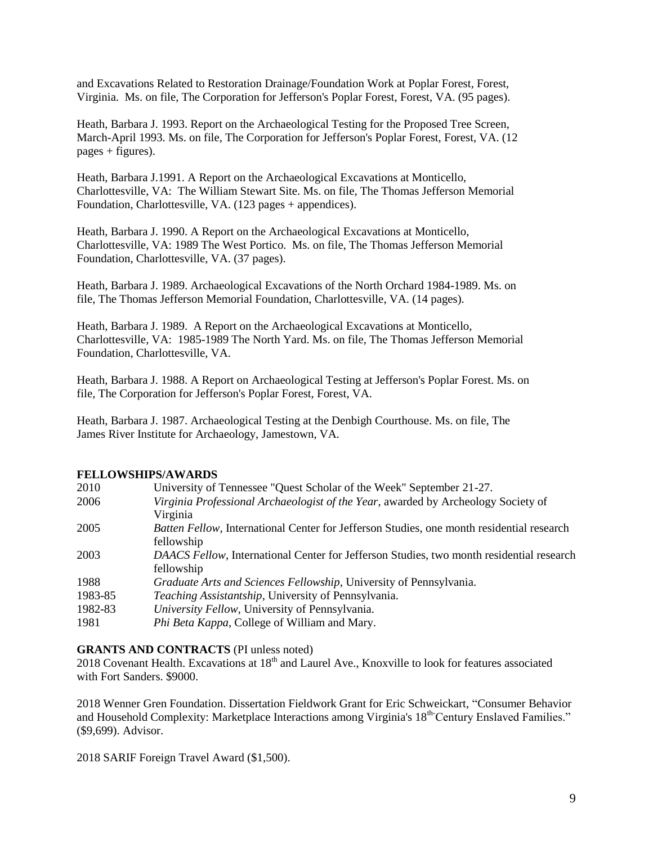and Excavations Related to Restoration Drainage/Foundation Work at Poplar Forest, Forest, Virginia. Ms. on file, The Corporation for Jefferson's Poplar Forest, Forest, VA. (95 pages).

Heath, Barbara J. 1993. Report on the Archaeological Testing for the Proposed Tree Screen, March-April 1993. Ms. on file, The Corporation for Jefferson's Poplar Forest, Forest, VA. (12  $pages + figures)$ .

Heath, Barbara J.1991. A Report on the Archaeological Excavations at Monticello, Charlottesville, VA: The William Stewart Site. Ms. on file, The Thomas Jefferson Memorial Foundation, Charlottesville, VA. (123 pages + appendices).

Heath, Barbara J. 1990. A Report on the Archaeological Excavations at Monticello, Charlottesville, VA: 1989 The West Portico. Ms. on file, The Thomas Jefferson Memorial Foundation, Charlottesville, VA. (37 pages).

Heath, Barbara J. 1989. Archaeological Excavations of the North Orchard 1984-1989. Ms. on file, The Thomas Jefferson Memorial Foundation, Charlottesville, VA. (14 pages).

Heath, Barbara J. 1989. A Report on the Archaeological Excavations at Monticello, Charlottesville, VA: 1985-1989 The North Yard. Ms. on file, The Thomas Jefferson Memorial Foundation, Charlottesville, VA.

Heath, Barbara J. 1988. A Report on Archaeological Testing at Jefferson's Poplar Forest. Ms. on file, The Corporation for Jefferson's Poplar Forest, Forest, VA.

Heath, Barbara J. 1987. Archaeological Testing at the Denbigh Courthouse. Ms. on file, The James River Institute for Archaeology, Jamestown, VA.

## **FELLOWSHIPS/AWARDS**

| 2010    | University of Tennessee "Quest Scholar of the Week" September 21-27.                      |
|---------|-------------------------------------------------------------------------------------------|
| 2006    | Virginia Professional Archaeologist of the Year, awarded by Archeology Society of         |
|         | Virginia                                                                                  |
| 2005    | Batten Fellow, International Center for Jefferson Studies, one month residential research |
|         | fellowship                                                                                |
| 2003    | DAACS Fellow, International Center for Jefferson Studies, two month residential research  |
|         | fellowship                                                                                |
| 1988    | Graduate Arts and Sciences Fellowship, University of Pennsylvania.                        |
| 1983-85 | <i>Teaching Assistantship</i> , University of Pennsylvania.                               |
| 1982-83 | University Fellow, University of Pennsylvania.                                            |
| 1981    | <i>Phi Beta Kappa</i> , College of William and Mary.                                      |

#### **GRANTS AND CONTRACTS** (PI unless noted)

2018 Covenant Health. Excavations at  $18<sup>th</sup>$  and Laurel Ave., Knoxville to look for features associated with Fort Sanders. \$9000.

2018 Wenner Gren Foundation. Dissertation Fieldwork Grant for Eric Schweickart, "Consumer Behavior and Household Complexity: Marketplace Interactions among Virginia's 18<sup>th-</sup>Century Enslaved Families." (\$9,699). Advisor.

2018 SARIF Foreign Travel Award (\$1,500).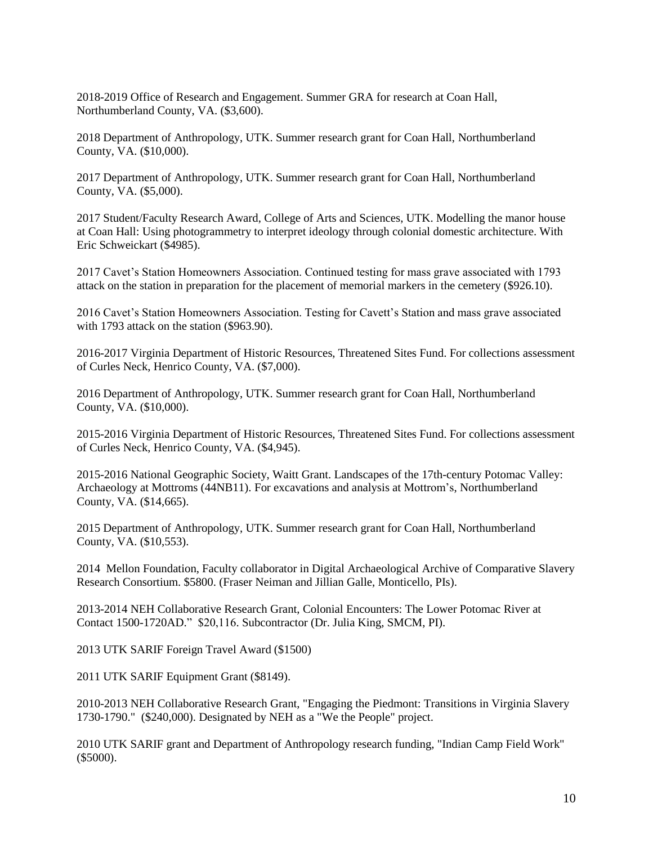2018-2019 Office of Research and Engagement. Summer GRA for research at Coan Hall, Northumberland County, VA. (\$3,600).

2018 Department of Anthropology, UTK. Summer research grant for Coan Hall, Northumberland County, VA. (\$10,000).

2017 Department of Anthropology, UTK. Summer research grant for Coan Hall, Northumberland County, VA. (\$5,000).

2017 Student/Faculty Research Award, College of Arts and Sciences, UTK. Modelling the manor house at Coan Hall: Using photogrammetry to interpret ideology through colonial domestic architecture. With Eric Schweickart (\$4985).

2017 Cavet's Station Homeowners Association. Continued testing for mass grave associated with 1793 attack on the station in preparation for the placement of memorial markers in the cemetery (\$926.10).

2016 Cavet's Station Homeowners Association. Testing for Cavett's Station and mass grave associated with 1793 attack on the station (\$963.90).

2016-2017 Virginia Department of Historic Resources, Threatened Sites Fund. For collections assessment of Curles Neck, Henrico County, VA. (\$7,000).

2016 Department of Anthropology, UTK. Summer research grant for Coan Hall, Northumberland County, VA. (\$10,000).

2015-2016 Virginia Department of Historic Resources, Threatened Sites Fund. For collections assessment of Curles Neck, Henrico County, VA. (\$4,945).

2015-2016 National Geographic Society, Waitt Grant. Landscapes of the 17th-century Potomac Valley: Archaeology at Mottroms (44NB11). For excavations and analysis at Mottrom's, Northumberland County, VA. (\$14,665).

2015 Department of Anthropology, UTK. Summer research grant for Coan Hall, Northumberland County, VA. (\$10,553).

2014 Mellon Foundation, Faculty collaborator in Digital Archaeological Archive of Comparative Slavery Research Consortium. \$5800. (Fraser Neiman and Jillian Galle, Monticello, PIs).

2013-2014 NEH Collaborative Research Grant, Colonial Encounters: The Lower Potomac River at Contact 1500-1720AD." \$20,116. Subcontractor (Dr. Julia King, SMCM, PI).

2013 UTK SARIF Foreign Travel Award (\$1500)

2011 UTK SARIF Equipment Grant (\$8149).

2010-2013 NEH Collaborative Research Grant, "Engaging the Piedmont: Transitions in Virginia Slavery 1730-1790." (\$240,000). Designated by NEH as a "We the People" project.

2010 UTK SARIF grant and Department of Anthropology research funding, "Indian Camp Field Work" (\$5000).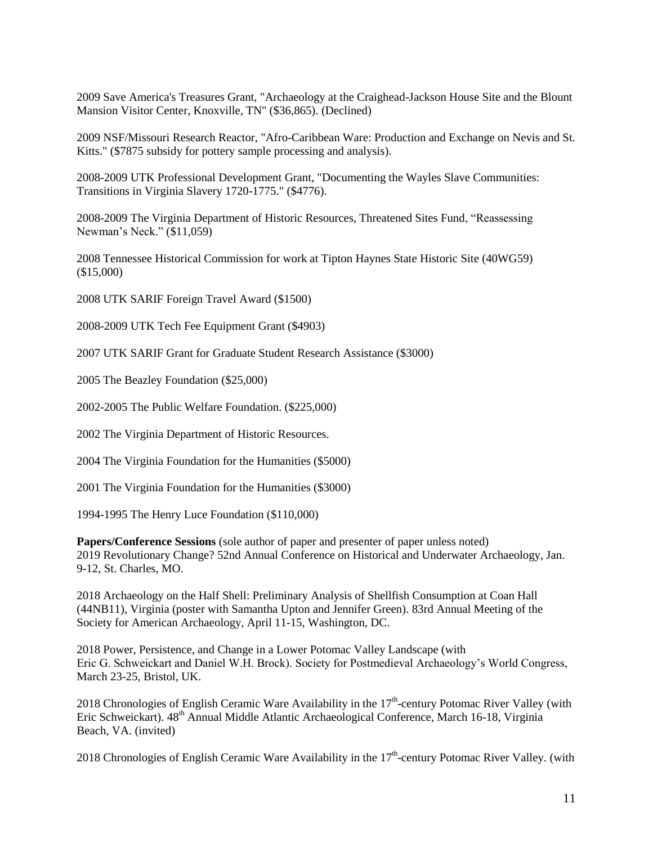2009 Save America's Treasures Grant, "Archaeology at the Craighead-Jackson House Site and the Blount Mansion Visitor Center, Knoxville, TN" (\$36,865). (Declined)

2009 NSF/Missouri Research Reactor, "Afro-Caribbean Ware: Production and Exchange on Nevis and St. Kitts." (\$7875 subsidy for pottery sample processing and analysis).

2008-2009 UTK Professional Development Grant, "Documenting the Wayles Slave Communities: Transitions in Virginia Slavery 1720-1775." (\$4776).

2008-2009 The Virginia Department of Historic Resources, Threatened Sites Fund, "Reassessing Newman's Neck." (\$11,059)

2008 Tennessee Historical Commission for work at Tipton Haynes State Historic Site (40WG59) (\$15,000)

2008 UTK SARIF Foreign Travel Award (\$1500)

2008-2009 UTK Tech Fee Equipment Grant (\$4903)

2007 UTK SARIF Grant for Graduate Student Research Assistance (\$3000)

2005 The Beazley Foundation (\$25,000)

2002-2005 The Public Welfare Foundation. (\$225,000)

2002 The Virginia Department of Historic Resources.

2004 The Virginia Foundation for the Humanities (\$5000)

2001 The Virginia Foundation for the Humanities (\$3000)

1994-1995 The Henry Luce Foundation (\$110,000)

**Papers/Conference Sessions** (sole author of paper and presenter of paper unless noted) 2019 Revolutionary Change? 52nd Annual Conference on Historical and Underwater Archaeology, Jan. 9-12, St. Charles, MO.

2018 Archaeology on the Half Shell: Preliminary Analysis of Shellfish Consumption at Coan Hall (44NB11), Virginia (poster with Samantha Upton and Jennifer Green). 83rd Annual Meeting of the Society for American Archaeology, April 11-15, Washington, DC.

2018 Power, Persistence, and Change in a Lower Potomac Valley Landscape (with Eric G. Schweickart and Daniel W.H. Brock). Society for Postmedieval Archaeology's World Congress, March 23-25, Bristol, UK.

2018 Chronologies of English Ceramic Ware Availability in the  $17<sup>th</sup>$ -century Potomac River Valley (with Eric Schweickart). 48<sup>th</sup> Annual Middle Atlantic Archaeological Conference, March 16-18, Virginia Beach, VA. (invited)

2018 Chronologies of English Ceramic Ware Availability in the  $17<sup>th</sup>$ -century Potomac River Valley. (with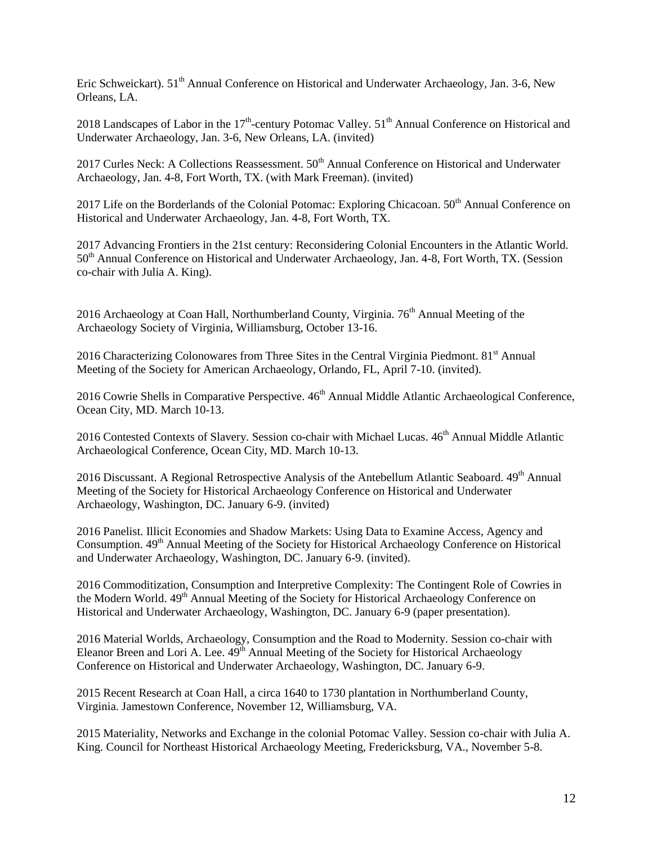Eric Schweickart). 51<sup>th</sup> Annual Conference on Historical and Underwater Archaeology, Jan. 3-6, New Orleans, LA.

2018 Landscapes of Labor in the 17<sup>th</sup>-century Potomac Valley. 51<sup>th</sup> Annual Conference on Historical and Underwater Archaeology, Jan. 3-6, New Orleans, LA. (invited)

2017 Curles Neck: A Collections Reassessment.  $50<sup>th</sup>$  Annual Conference on Historical and Underwater Archaeology, Jan. 4-8, Fort Worth, TX. (with Mark Freeman). (invited)

2017 Life on the Borderlands of the Colonial Potomac: Exploring Chicacoan. 50<sup>th</sup> Annual Conference on Historical and Underwater Archaeology, Jan. 4-8, Fort Worth, TX.

2017 Advancing Frontiers in the 21st century: Reconsidering Colonial Encounters in the Atlantic World. 50<sup>th</sup> Annual Conference on Historical and Underwater Archaeology, Jan. 4-8, Fort Worth, TX. (Session co-chair with Julia A. King).

2016 Archaeology at Coan Hall, Northumberland County, Virginia. 76<sup>th</sup> Annual Meeting of the Archaeology Society of Virginia, Williamsburg, October 13-16.

2016 Characterizing Colonowares from Three Sites in the Central Virginia Piedmont.  $81<sup>st</sup>$  Annual Meeting of the Society for American Archaeology, Orlando, FL, April 7-10. (invited).

2016 Cowrie Shells in Comparative Perspective.  $46<sup>th</sup>$  Annual Middle Atlantic Archaeological Conference, Ocean City, MD. March 10-13.

2016 Contested Contexts of Slavery. Session co-chair with Michael Lucas. 46<sup>th</sup> Annual Middle Atlantic Archaeological Conference, Ocean City, MD. March 10-13.

2016 Discussant. A Regional Retrospective Analysis of the Antebellum Atlantic Seaboard.  $49<sup>th</sup>$  Annual Meeting of the Society for Historical Archaeology Conference on Historical and Underwater Archaeology, Washington, DC. January 6-9. (invited)

2016 Panelist. Illicit Economies and Shadow Markets: Using Data to Examine Access, Agency and Consumption.  $49<sup>th</sup>$  Annual Meeting of the Society for Historical Archaeology Conference on Historical and Underwater Archaeology, Washington, DC. January 6-9. (invited).

2016 Commoditization, Consumption and Interpretive Complexity: The Contingent Role of Cowries in the Modern World. 49<sup>th</sup> Annual Meeting of the Society for Historical Archaeology Conference on Historical and Underwater Archaeology, Washington, DC. January 6-9 (paper presentation).

2016 Material Worlds, Archaeology, Consumption and the Road to Modernity. Session co-chair with Eleanor Breen and Lori A. Lee.  $49<sup>th</sup>$  Annual Meeting of the Society for Historical Archaeology Conference on Historical and Underwater Archaeology, Washington, DC. January 6-9.

2015 Recent Research at Coan Hall, a circa 1640 to 1730 plantation in Northumberland County, Virginia. Jamestown Conference, November 12, Williamsburg, VA.

2015 Materiality, Networks and Exchange in the colonial Potomac Valley. Session co-chair with Julia A. King. Council for Northeast Historical Archaeology Meeting, Fredericksburg, VA., November 5-8.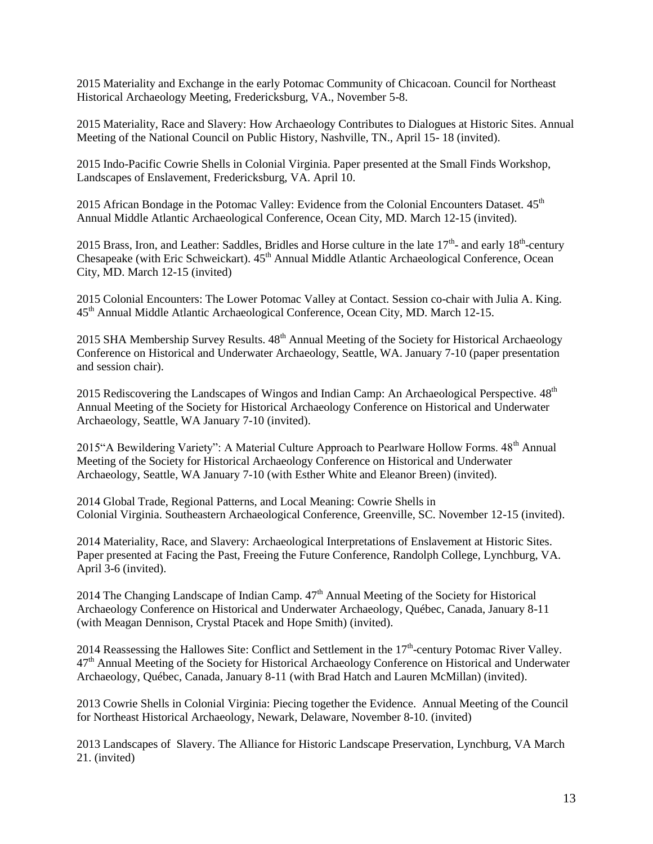2015 Materiality and Exchange in the early Potomac Community of Chicacoan. Council for Northeast Historical Archaeology Meeting, Fredericksburg, VA., November 5-8.

2015 Materiality, Race and Slavery: How Archaeology Contributes to Dialogues at Historic Sites. Annual Meeting of the National Council on Public History, Nashville, TN., April 15- 18 (invited).

2015 Indo-Pacific Cowrie Shells in Colonial Virginia. Paper presented at the Small Finds Workshop, Landscapes of Enslavement, Fredericksburg, VA. April 10.

2015 African Bondage in the Potomac Valley: Evidence from the Colonial Encounters Dataset. 45<sup>th</sup> Annual Middle Atlantic Archaeological Conference, Ocean City, MD. March 12-15 (invited).

2015 Brass, Iron, and Leather: Saddles, Bridles and Horse culture in the late  $17<sup>th</sup>$ - and early  $18<sup>th</sup>$ -century Chesapeake (with Eric Schweickart).  $45<sup>th</sup>$  Annual Middle Atlantic Archaeological Conference, Ocean City, MD. March 12-15 (invited)

2015 Colonial Encounters: The Lower Potomac Valley at Contact. Session co-chair with Julia A. King. 45th Annual Middle Atlantic Archaeological Conference, Ocean City, MD. March 12-15.

2015 SHA Membership Survey Results.  $48<sup>th</sup>$  Annual Meeting of the Society for Historical Archaeology Conference on Historical and Underwater Archaeology, Seattle, WA. January 7-10 (paper presentation and session chair).

2015 Rediscovering the Landscapes of Wingos and Indian Camp: An Archaeological Perspective.  $48<sup>th</sup>$ Annual Meeting of the Society for Historical Archaeology Conference on Historical and Underwater Archaeology, Seattle, WA January 7-10 (invited).

2015"A Bewildering Variety": A Material Culture Approach to Pearlware Hollow Forms. 48<sup>th</sup> Annual Meeting of the Society for Historical Archaeology Conference on Historical and Underwater Archaeology, Seattle, WA January 7-10 (with Esther White and Eleanor Breen) (invited).

2014 Global Trade, Regional Patterns, and Local Meaning: Cowrie Shells in Colonial Virginia. Southeastern Archaeological Conference, Greenville, SC. November 12-15 (invited).

2014 Materiality, Race, and Slavery: Archaeological Interpretations of Enslavement at Historic Sites. Paper presented at Facing the Past, Freeing the Future Conference, Randolph College, Lynchburg, VA. April 3-6 (invited).

2014 The Changing Landscape of Indian Camp.  $47<sup>th</sup>$  Annual Meeting of the Society for Historical Archaeology Conference on Historical and Underwater Archaeology, Québec, Canada, January 8-11 (with Meagan Dennison, Crystal Ptacek and Hope Smith) (invited).

2014 Reassessing the Hallowes Site: Conflict and Settlement in the  $17<sup>th</sup>$ -century Potomac River Valley. 47<sup>th</sup> Annual Meeting of the Society for Historical Archaeology Conference on Historical and Underwater Archaeology, Québec, Canada, January 8-11 (with Brad Hatch and Lauren McMillan) (invited).

2013 Cowrie Shells in Colonial Virginia: Piecing together the Evidence. Annual Meeting of the Council for Northeast Historical Archaeology, Newark, Delaware, November 8-10. (invited)

2013 Landscapes of Slavery. The Alliance for Historic Landscape Preservation, Lynchburg, VA March 21. (invited)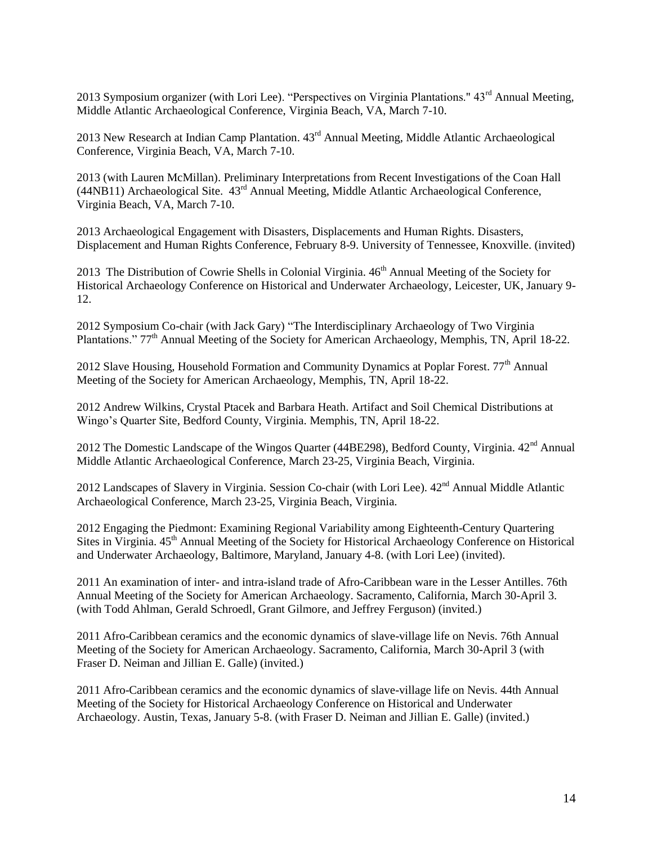2013 Symposium organizer (with Lori Lee). "Perspectives on Virginia Plantations." 43<sup>rd</sup> Annual Meeting, Middle Atlantic Archaeological Conference, Virginia Beach, VA, March 7-10.

2013 New Research at Indian Camp Plantation.  $43<sup>rd</sup>$  Annual Meeting, Middle Atlantic Archaeological Conference, Virginia Beach, VA, March 7-10.

2013 (with Lauren McMillan). Preliminary Interpretations from Recent Investigations of the Coan Hall (44NB11) Archaeological Site. 43rd Annual Meeting, Middle Atlantic Archaeological Conference, Virginia Beach, VA, March 7-10.

2013 Archaeological Engagement with Disasters, Displacements and Human Rights. Disasters, Displacement and Human Rights Conference, February 8-9. University of Tennessee, Knoxville. (invited)

2013 The Distribution of Cowrie Shells in Colonial Virginia.  $46<sup>th</sup>$  Annual Meeting of the Society for Historical Archaeology Conference on Historical and Underwater Archaeology, Leicester, UK, January 9- 12.

2012 Symposium Co-chair (with Jack Gary) "The Interdisciplinary Archaeology of Two Virginia Plantations." 77<sup>th</sup> Annual Meeting of the Society for American Archaeology, Memphis, TN, April 18-22.

2012 Slave Housing, Household Formation and Community Dynamics at Poplar Forest.  $77<sup>th</sup>$  Annual Meeting of the Society for American Archaeology, Memphis, TN, April 18-22.

2012 Andrew Wilkins, Crystal Ptacek and Barbara Heath. Artifact and Soil Chemical Distributions at Wingo's Quarter Site, Bedford County, Virginia. Memphis, TN, April 18-22.

2012 The Domestic Landscape of the Wingos Quarter (44BE298), Bedford County, Virginia. 42<sup>nd</sup> Annual Middle Atlantic Archaeological Conference, March 23-25, Virginia Beach, Virginia.

2012 Landscapes of Slavery in Virginia. Session Co-chair (with Lori Lee).  $42<sup>nd</sup>$  Annual Middle Atlantic Archaeological Conference, March 23-25, Virginia Beach, Virginia.

2012 Engaging the Piedmont: Examining Regional Variability among Eighteenth-Century Quartering Sites in Virginia.  $45<sup>th</sup>$  Annual Meeting of the Society for Historical Archaeology Conference on Historical and Underwater Archaeology, Baltimore, Maryland, January 4-8. (with Lori Lee) (invited).

2011 An examination of inter- and intra-island trade of Afro-Caribbean ware in the Lesser Antilles. 76th Annual Meeting of the Society for American Archaeology. Sacramento, California, March 30-April 3. (with Todd Ahlman, Gerald Schroedl, Grant Gilmore, and Jeffrey Ferguson) (invited.)

2011 Afro-Caribbean ceramics and the economic dynamics of slave-village life on Nevis. 76th Annual Meeting of the Society for American Archaeology. Sacramento, California, March 30-April 3 (with Fraser D. Neiman and Jillian E. Galle) (invited.)

2011 Afro-Caribbean ceramics and the economic dynamics of slave-village life on Nevis. 44th Annual Meeting of the Society for Historical Archaeology Conference on Historical and Underwater Archaeology. Austin, Texas, January 5-8. (with Fraser D. Neiman and Jillian E. Galle) (invited.)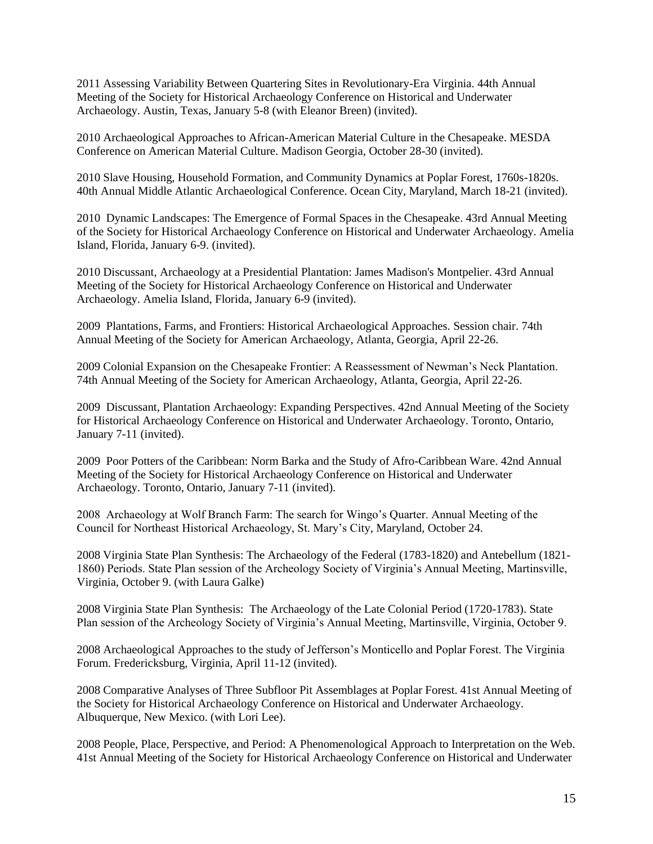2011 Assessing Variability Between Quartering Sites in Revolutionary-Era Virginia. 44th Annual Meeting of the Society for Historical Archaeology Conference on Historical and Underwater Archaeology. Austin, Texas, January 5-8 (with Eleanor Breen) (invited).

2010 Archaeological Approaches to African-American Material Culture in the Chesapeake. MESDA Conference on American Material Culture. Madison Georgia, October 28-30 (invited).

2010 Slave Housing, Household Formation, and Community Dynamics at Poplar Forest, 1760s-1820s. 40th Annual Middle Atlantic Archaeological Conference. Ocean City, Maryland, March 18-21 (invited).

2010 Dynamic Landscapes: The Emergence of Formal Spaces in the Chesapeake. 43rd Annual Meeting of the Society for Historical Archaeology Conference on Historical and Underwater Archaeology. Amelia Island, Florida, January 6-9. (invited).

2010 Discussant, Archaeology at a Presidential Plantation: James Madison's Montpelier. 43rd Annual Meeting of the Society for Historical Archaeology Conference on Historical and Underwater Archaeology. Amelia Island, Florida, January 6-9 (invited).

2009 Plantations, Farms, and Frontiers: Historical Archaeological Approaches. Session chair. 74th Annual Meeting of the Society for American Archaeology, Atlanta, Georgia, April 22-26.

2009 Colonial Expansion on the Chesapeake Frontier: A Reassessment of Newman's Neck Plantation. 74th Annual Meeting of the Society for American Archaeology, Atlanta, Georgia, April 22-26.

2009 Discussant, Plantation Archaeology: Expanding Perspectives. 42nd Annual Meeting of the Society for Historical Archaeology Conference on Historical and Underwater Archaeology. Toronto, Ontario, January 7-11 (invited).

2009 Poor Potters of the Caribbean: Norm Barka and the Study of Afro-Caribbean Ware. 42nd Annual Meeting of the Society for Historical Archaeology Conference on Historical and Underwater Archaeology. Toronto, Ontario, January 7-11 (invited).

2008 Archaeology at Wolf Branch Farm: The search for Wingo's Quarter. Annual Meeting of the Council for Northeast Historical Archaeology, St. Mary's City, Maryland, October 24.

2008 Virginia State Plan Synthesis: The Archaeology of the Federal (1783-1820) and Antebellum (1821- 1860) Periods. State Plan session of the Archeology Society of Virginia's Annual Meeting, Martinsville, Virginia, October 9. (with Laura Galke)

2008 Virginia State Plan Synthesis: The Archaeology of the Late Colonial Period (1720-1783). State Plan session of the Archeology Society of Virginia's Annual Meeting, Martinsville, Virginia, October 9.

2008 Archaeological Approaches to the study of Jefferson's Monticello and Poplar Forest. The Virginia Forum. Fredericksburg, Virginia, April 11-12 (invited).

2008 Comparative Analyses of Three Subfloor Pit Assemblages at Poplar Forest. 41st Annual Meeting of the Society for Historical Archaeology Conference on Historical and Underwater Archaeology. Albuquerque, New Mexico. (with Lori Lee).

2008 People, Place, Perspective, and Period: A Phenomenological Approach to Interpretation on the Web. 41st Annual Meeting of the Society for Historical Archaeology Conference on Historical and Underwater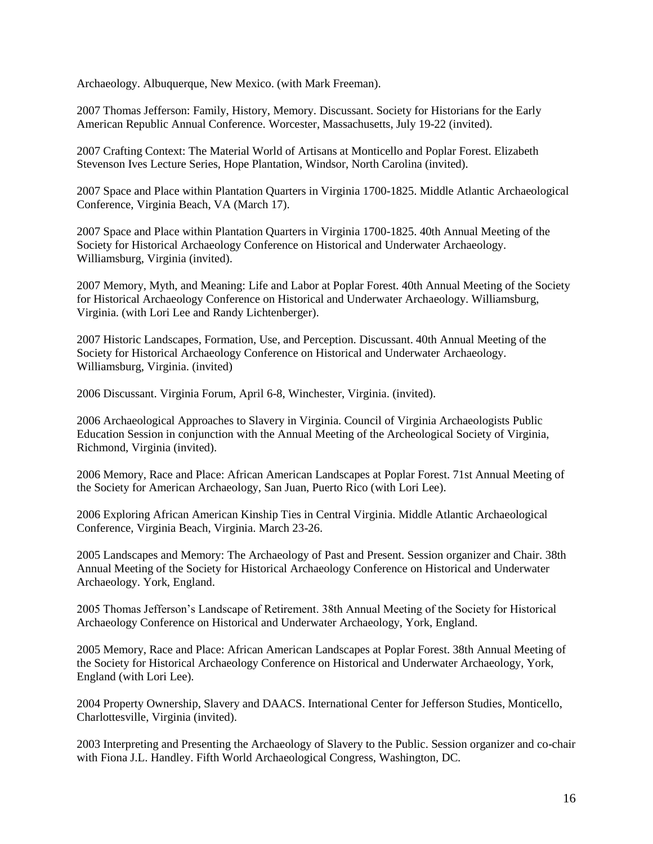Archaeology. Albuquerque, New Mexico. (with Mark Freeman).

2007 Thomas Jefferson: Family, History, Memory. Discussant. Society for Historians for the Early American Republic Annual Conference. Worcester, Massachusetts, July 19-22 (invited).

2007 Crafting Context: The Material World of Artisans at Monticello and Poplar Forest. Elizabeth Stevenson Ives Lecture Series, Hope Plantation, Windsor, North Carolina (invited).

2007 Space and Place within Plantation Quarters in Virginia 1700-1825. Middle Atlantic Archaeological Conference, Virginia Beach, VA (March 17).

2007 Space and Place within Plantation Quarters in Virginia 1700-1825. 40th Annual Meeting of the Society for Historical Archaeology Conference on Historical and Underwater Archaeology. Williamsburg, Virginia (invited).

2007 Memory, Myth, and Meaning: Life and Labor at Poplar Forest. 40th Annual Meeting of the Society for Historical Archaeology Conference on Historical and Underwater Archaeology. Williamsburg, Virginia. (with Lori Lee and Randy Lichtenberger).

2007 Historic Landscapes, Formation, Use, and Perception. Discussant. 40th Annual Meeting of the Society for Historical Archaeology Conference on Historical and Underwater Archaeology. Williamsburg, Virginia. (invited)

2006 Discussant. Virginia Forum, April 6-8, Winchester, Virginia. (invited).

2006 Archaeological Approaches to Slavery in Virginia. Council of Virginia Archaeologists Public Education Session in conjunction with the Annual Meeting of the Archeological Society of Virginia, Richmond, Virginia (invited).

2006 Memory, Race and Place: African American Landscapes at Poplar Forest. 71st Annual Meeting of the Society for American Archaeology, San Juan, Puerto Rico (with Lori Lee).

2006 Exploring African American Kinship Ties in Central Virginia. Middle Atlantic Archaeological Conference, Virginia Beach, Virginia. March 23-26.

2005 Landscapes and Memory: The Archaeology of Past and Present. Session organizer and Chair. 38th Annual Meeting of the Society for Historical Archaeology Conference on Historical and Underwater Archaeology. York, England.

2005 Thomas Jefferson's Landscape of Retirement. 38th Annual Meeting of the Society for Historical Archaeology Conference on Historical and Underwater Archaeology, York, England.

2005 Memory, Race and Place: African American Landscapes at Poplar Forest. 38th Annual Meeting of the Society for Historical Archaeology Conference on Historical and Underwater Archaeology, York, England (with Lori Lee).

2004 Property Ownership, Slavery and DAACS. International Center for Jefferson Studies, Monticello, Charlottesville, Virginia (invited).

2003 Interpreting and Presenting the Archaeology of Slavery to the Public. Session organizer and co-chair with Fiona J.L. Handley. Fifth World Archaeological Congress, Washington, DC.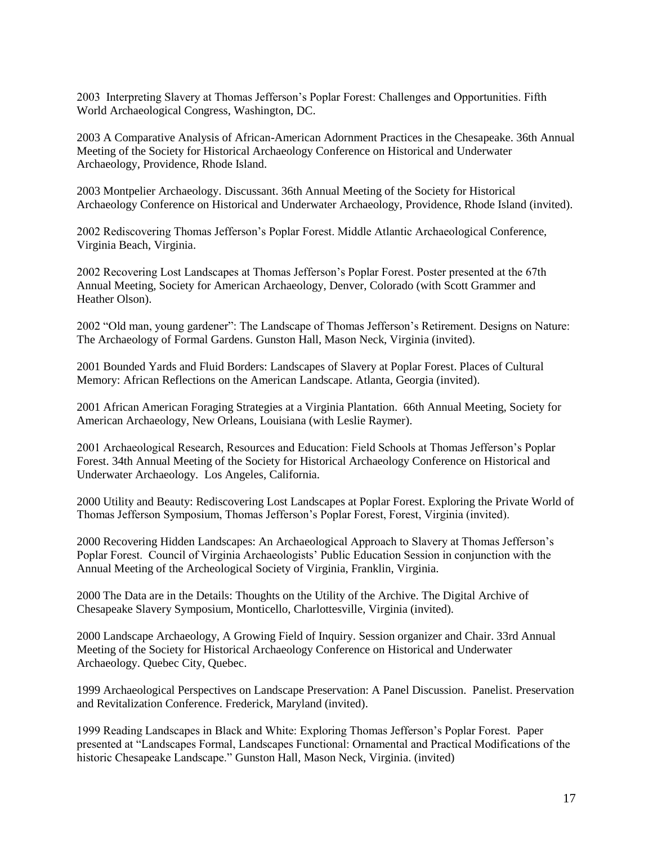2003 Interpreting Slavery at Thomas Jefferson's Poplar Forest: Challenges and Opportunities. Fifth World Archaeological Congress, Washington, DC.

2003 A Comparative Analysis of African-American Adornment Practices in the Chesapeake. 36th Annual Meeting of the Society for Historical Archaeology Conference on Historical and Underwater Archaeology, Providence, Rhode Island.

2003 Montpelier Archaeology. Discussant. 36th Annual Meeting of the Society for Historical Archaeology Conference on Historical and Underwater Archaeology, Providence, Rhode Island (invited).

2002 Rediscovering Thomas Jefferson's Poplar Forest. Middle Atlantic Archaeological Conference, Virginia Beach, Virginia.

2002 Recovering Lost Landscapes at Thomas Jefferson's Poplar Forest. Poster presented at the 67th Annual Meeting, Society for American Archaeology, Denver, Colorado (with Scott Grammer and Heather Olson).

2002 "Old man, young gardener": The Landscape of Thomas Jefferson's Retirement. Designs on Nature: The Archaeology of Formal Gardens. Gunston Hall, Mason Neck, Virginia (invited).

2001 Bounded Yards and Fluid Borders: Landscapes of Slavery at Poplar Forest. Places of Cultural Memory: African Reflections on the American Landscape. Atlanta, Georgia (invited).

2001 African American Foraging Strategies at a Virginia Plantation. 66th Annual Meeting, Society for American Archaeology, New Orleans, Louisiana (with Leslie Raymer).

2001 Archaeological Research, Resources and Education: Field Schools at Thomas Jefferson's Poplar Forest. 34th Annual Meeting of the Society for Historical Archaeology Conference on Historical and Underwater Archaeology. Los Angeles, California.

2000 Utility and Beauty: Rediscovering Lost Landscapes at Poplar Forest. Exploring the Private World of Thomas Jefferson Symposium, Thomas Jefferson's Poplar Forest, Forest, Virginia (invited).

2000 Recovering Hidden Landscapes: An Archaeological Approach to Slavery at Thomas Jefferson's Poplar Forest. Council of Virginia Archaeologists' Public Education Session in conjunction with the Annual Meeting of the Archeological Society of Virginia, Franklin, Virginia.

2000 The Data are in the Details: Thoughts on the Utility of the Archive. The Digital Archive of Chesapeake Slavery Symposium, Monticello, Charlottesville, Virginia (invited).

2000 Landscape Archaeology, A Growing Field of Inquiry. Session organizer and Chair. 33rd Annual Meeting of the Society for Historical Archaeology Conference on Historical and Underwater Archaeology. Quebec City, Quebec.

1999 Archaeological Perspectives on Landscape Preservation: A Panel Discussion. Panelist. Preservation and Revitalization Conference. Frederick, Maryland (invited).

1999 Reading Landscapes in Black and White: Exploring Thomas Jefferson's Poplar Forest. Paper presented at "Landscapes Formal, Landscapes Functional: Ornamental and Practical Modifications of the historic Chesapeake Landscape." Gunston Hall, Mason Neck, Virginia. (invited)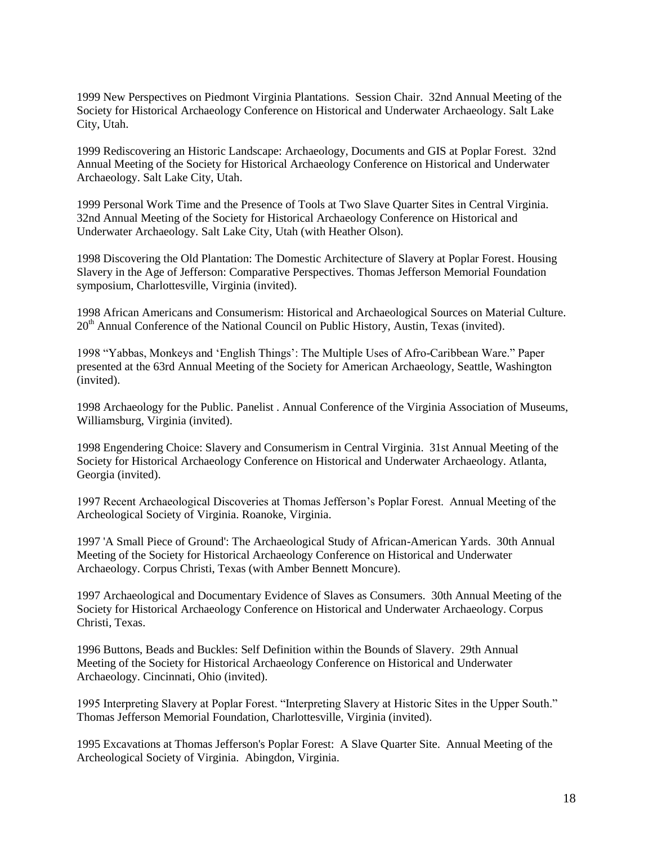1999 New Perspectives on Piedmont Virginia Plantations. Session Chair. 32nd Annual Meeting of the Society for Historical Archaeology Conference on Historical and Underwater Archaeology. Salt Lake City, Utah.

1999 Rediscovering an Historic Landscape: Archaeology, Documents and GIS at Poplar Forest. 32nd Annual Meeting of the Society for Historical Archaeology Conference on Historical and Underwater Archaeology. Salt Lake City, Utah.

1999 Personal Work Time and the Presence of Tools at Two Slave Quarter Sites in Central Virginia. 32nd Annual Meeting of the Society for Historical Archaeology Conference on Historical and Underwater Archaeology. Salt Lake City, Utah (with Heather Olson).

1998 Discovering the Old Plantation: The Domestic Architecture of Slavery at Poplar Forest. Housing Slavery in the Age of Jefferson: Comparative Perspectives. Thomas Jefferson Memorial Foundation symposium, Charlottesville, Virginia (invited).

1998 African Americans and Consumerism: Historical and Archaeological Sources on Material Culture.  $20<sup>th</sup>$  Annual Conference of the National Council on Public History, Austin, Texas (invited).

1998 "Yabbas, Monkeys and 'English Things': The Multiple Uses of Afro-Caribbean Ware." Paper presented at the 63rd Annual Meeting of the Society for American Archaeology, Seattle, Washington (invited).

1998 Archaeology for the Public. Panelist . Annual Conference of the Virginia Association of Museums, Williamsburg, Virginia (invited).

1998 Engendering Choice: Slavery and Consumerism in Central Virginia. 31st Annual Meeting of the Society for Historical Archaeology Conference on Historical and Underwater Archaeology. Atlanta, Georgia (invited).

1997 Recent Archaeological Discoveries at Thomas Jefferson's Poplar Forest. Annual Meeting of the Archeological Society of Virginia. Roanoke, Virginia.

1997 'A Small Piece of Ground': The Archaeological Study of African-American Yards. 30th Annual Meeting of the Society for Historical Archaeology Conference on Historical and Underwater Archaeology. Corpus Christi, Texas (with Amber Bennett Moncure).

1997 Archaeological and Documentary Evidence of Slaves as Consumers. 30th Annual Meeting of the Society for Historical Archaeology Conference on Historical and Underwater Archaeology. Corpus Christi, Texas.

1996 Buttons, Beads and Buckles: Self Definition within the Bounds of Slavery. 29th Annual Meeting of the Society for Historical Archaeology Conference on Historical and Underwater Archaeology. Cincinnati, Ohio (invited).

1995 Interpreting Slavery at Poplar Forest. "Interpreting Slavery at Historic Sites in the Upper South." Thomas Jefferson Memorial Foundation, Charlottesville, Virginia (invited).

1995 Excavations at Thomas Jefferson's Poplar Forest: A Slave Quarter Site. Annual Meeting of the Archeological Society of Virginia. Abingdon, Virginia.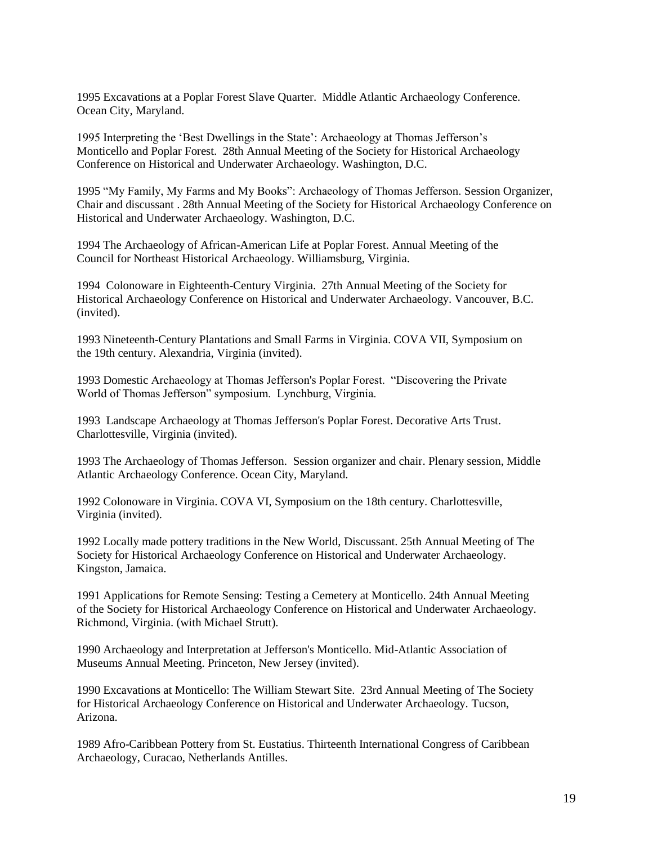1995 Excavations at a Poplar Forest Slave Quarter. Middle Atlantic Archaeology Conference. Ocean City, Maryland.

1995 Interpreting the 'Best Dwellings in the State': Archaeology at Thomas Jefferson's Monticello and Poplar Forest. 28th Annual Meeting of the Society for Historical Archaeology Conference on Historical and Underwater Archaeology. Washington, D.C.

1995 "My Family, My Farms and My Books": Archaeology of Thomas Jefferson. Session Organizer, Chair and discussant . 28th Annual Meeting of the Society for Historical Archaeology Conference on Historical and Underwater Archaeology. Washington, D.C.

1994 The Archaeology of African-American Life at Poplar Forest. Annual Meeting of the Council for Northeast Historical Archaeology. Williamsburg, Virginia.

1994 Colonoware in Eighteenth-Century Virginia. 27th Annual Meeting of the Society for Historical Archaeology Conference on Historical and Underwater Archaeology. Vancouver, B.C. (invited).

1993 Nineteenth-Century Plantations and Small Farms in Virginia. COVA VII, Symposium on the 19th century. Alexandria, Virginia (invited).

1993 Domestic Archaeology at Thomas Jefferson's Poplar Forest. "Discovering the Private World of Thomas Jefferson" symposium. Lynchburg, Virginia.

1993 Landscape Archaeology at Thomas Jefferson's Poplar Forest. Decorative Arts Trust. Charlottesville, Virginia (invited).

1993 The Archaeology of Thomas Jefferson. Session organizer and chair. Plenary session, Middle Atlantic Archaeology Conference. Ocean City, Maryland.

1992 Colonoware in Virginia. COVA VI, Symposium on the 18th century. Charlottesville, Virginia (invited).

1992 Locally made pottery traditions in the New World, Discussant. 25th Annual Meeting of The Society for Historical Archaeology Conference on Historical and Underwater Archaeology. Kingston, Jamaica.

1991 Applications for Remote Sensing: Testing a Cemetery at Monticello. 24th Annual Meeting of the Society for Historical Archaeology Conference on Historical and Underwater Archaeology. Richmond, Virginia. (with Michael Strutt).

1990 Archaeology and Interpretation at Jefferson's Monticello. Mid-Atlantic Association of Museums Annual Meeting. Princeton, New Jersey (invited).

1990 Excavations at Monticello: The William Stewart Site. 23rd Annual Meeting of The Society for Historical Archaeology Conference on Historical and Underwater Archaeology. Tucson, Arizona.

1989 Afro-Caribbean Pottery from St. Eustatius. Thirteenth International Congress of Caribbean Archaeology, Curacao, Netherlands Antilles.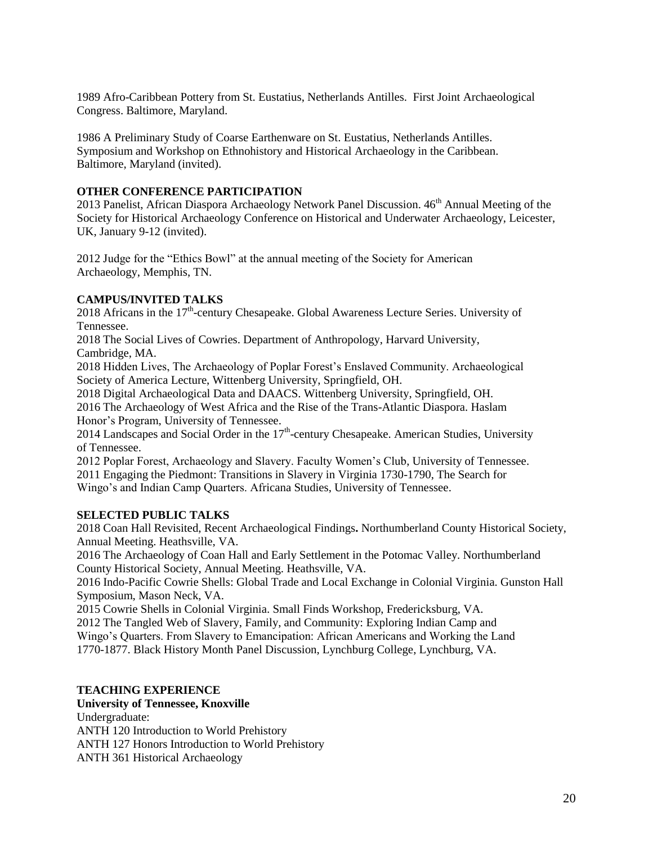1989 Afro-Caribbean Pottery from St. Eustatius, Netherlands Antilles. First Joint Archaeological Congress. Baltimore, Maryland.

1986 A Preliminary Study of Coarse Earthenware on St. Eustatius, Netherlands Antilles. Symposium and Workshop on Ethnohistory and Historical Archaeology in the Caribbean. Baltimore, Maryland (invited).

### **OTHER CONFERENCE PARTICIPATION**

2013 Panelist, African Diaspora Archaeology Network Panel Discussion. 46<sup>th</sup> Annual Meeting of the Society for Historical Archaeology Conference on Historical and Underwater Archaeology, Leicester, UK, January 9-12 (invited).

2012 Judge for the "Ethics Bowl" at the annual meeting of the Society for American Archaeology, Memphis, TN.

#### **CAMPUS/INVITED TALKS**

2018 Africans in the  $17<sup>th</sup>$ -century Chesapeake. Global Awareness Lecture Series. University of Tennessee.

2018 The Social Lives of Cowries. Department of Anthropology, Harvard University, Cambridge, MA.

2018 Hidden Lives, The Archaeology of Poplar Forest's Enslaved Community. Archaeological Society of America Lecture, Wittenberg University, Springfield, OH.

2018 Digital Archaeological Data and DAACS. Wittenberg University, Springfield, OH. 2016 The Archaeology of West Africa and the Rise of the Trans-Atlantic Diaspora. Haslam Honor's Program, University of Tennessee.

2014 Landscapes and Social Order in the  $17<sup>th</sup>$ -century Chesapeake. American Studies, University of Tennessee.

2012 Poplar Forest, Archaeology and Slavery. Faculty Women's Club, University of Tennessee. 2011 Engaging the Piedmont: Transitions in Slavery in Virginia 1730-1790, The Search for Wingo's and Indian Camp Quarters. Africana Studies, University of Tennessee.

#### **SELECTED PUBLIC TALKS**

2018 Coan Hall Revisited, Recent Archaeological Findings**.** Northumberland County Historical Society, Annual Meeting. Heathsville, VA.

2016 The Archaeology of Coan Hall and Early Settlement in the Potomac Valley. Northumberland County Historical Society, Annual Meeting. Heathsville, VA.

2016 Indo-Pacific Cowrie Shells: Global Trade and Local Exchange in Colonial Virginia. Gunston Hall Symposium, Mason Neck, VA.

2015 Cowrie Shells in Colonial Virginia. Small Finds Workshop, Fredericksburg, VA. 2012 The Tangled Web of Slavery, Family, and Community: Exploring Indian Camp and Wingo's Quarters. From Slavery to Emancipation: African Americans and Working the Land 1770-1877. Black History Month Panel Discussion, Lynchburg College, Lynchburg, VA.

#### **TEACHING EXPERIENCE**

**University of Tennessee, Knoxville**

Undergraduate: ANTH 120 Introduction to World Prehistory ANTH 127 Honors Introduction to World Prehistory ANTH 361 Historical Archaeology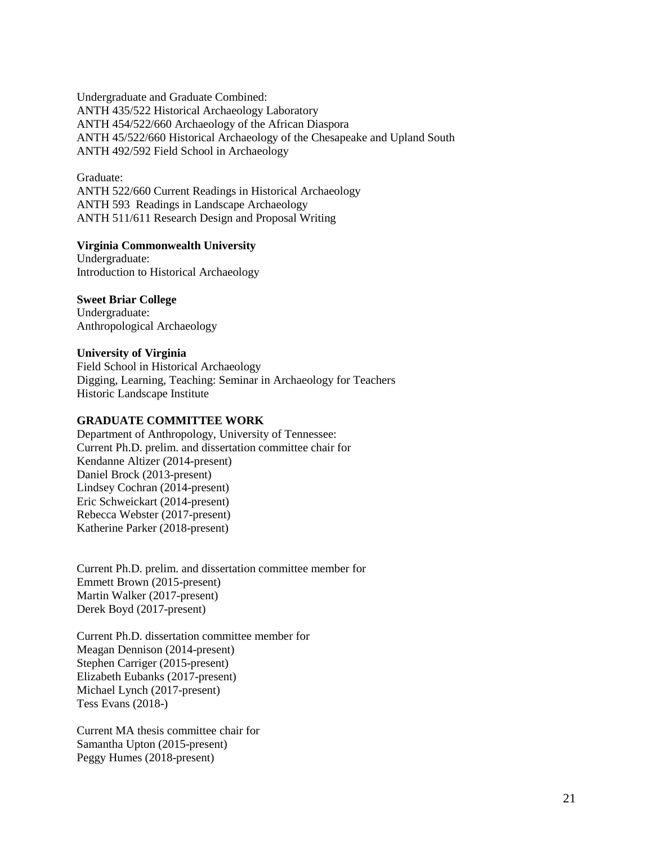Undergraduate and Graduate Combined: ANTH 435/522 Historical Archaeology Laboratory ANTH 454/522/660 Archaeology of the African Diaspora ANTH 45/522/660 Historical Archaeology of the Chesapeake and Upland South ANTH 492/592 Field School in Archaeology

Graduate:

ANTH 522/660 Current Readings in Historical Archaeology ANTH 593 Readings in Landscape Archaeology ANTH 511/611 Research Design and Proposal Writing

## **Virginia Commonwealth University**

Undergraduate: Introduction to Historical Archaeology

**Sweet Briar College**

Undergraduate: Anthropological Archaeology

## **University of Virginia**

Field School in Historical Archaeology Digging, Learning, Teaching: Seminar in Archaeology for Teachers Historic Landscape Institute

### **GRADUATE COMMITTEE WORK**

Department of Anthropology, University of Tennessee: Current Ph.D. prelim. and dissertation committee chair for Kendanne Altizer (2014-present) Daniel Brock (2013-present) Lindsey Cochran (2014-present) Eric Schweickart (2014-present) Rebecca Webster (2017-present) Katherine Parker (2018-present)

Current Ph.D. prelim. and dissertation committee member for Emmett Brown (2015-present) Martin Walker (2017-present) Derek Boyd (2017-present)

Current Ph.D. dissertation committee member for Meagan Dennison (2014-present) Stephen Carriger (2015-present) Elizabeth Eubanks (2017-present) Michael Lynch (2017-present) Tess Evans (2018-)

Current MA thesis committee chair for Samantha Upton (2015-present) Peggy Humes (2018-present)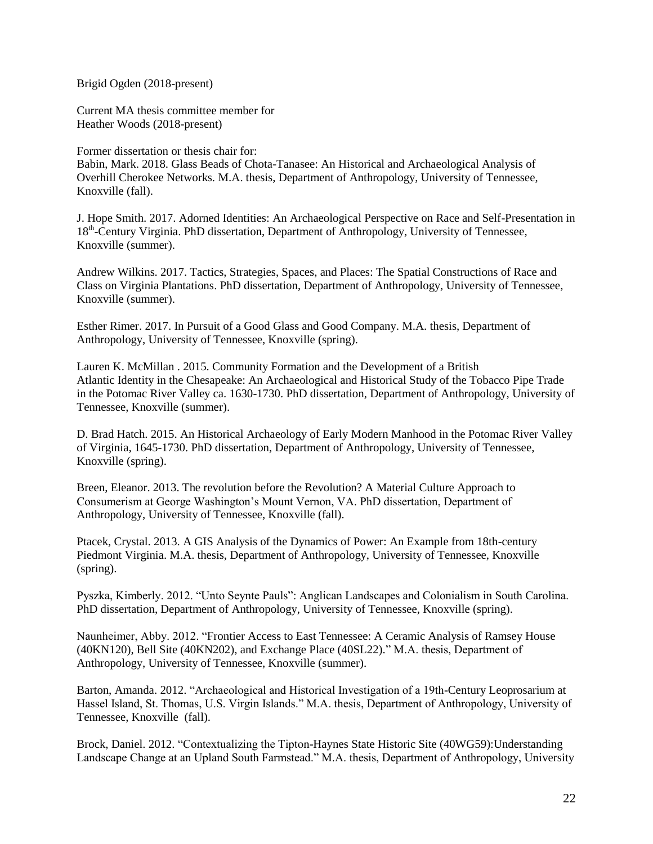Brigid Ogden (2018-present)

Current MA thesis committee member for Heather Woods (2018-present)

Former dissertation or thesis chair for:

Babin, Mark. 2018. Glass Beads of Chota-Tanasee: An Historical and Archaeological Analysis of Overhill Cherokee Networks. M.A. thesis, Department of Anthropology, University of Tennessee, Knoxville (fall).

J. Hope Smith. 2017. Adorned Identities: An Archaeological Perspective on Race and Self-Presentation in 18<sup>th</sup>-Century Virginia. PhD dissertation, Department of Anthropology, University of Tennessee, Knoxville (summer).

Andrew Wilkins. 2017. Tactics, Strategies, Spaces, and Places: The Spatial Constructions of Race and Class on Virginia Plantations. PhD dissertation, Department of Anthropology, University of Tennessee, Knoxville (summer).

Esther Rimer. 2017. In Pursuit of a Good Glass and Good Company. M.A. thesis, Department of Anthropology, University of Tennessee, Knoxville (spring).

Lauren K. McMillan . 2015. Community Formation and the Development of a British Atlantic Identity in the Chesapeake: An Archaeological and Historical Study of the Tobacco Pipe Trade in the Potomac River Valley ca. 1630-1730. PhD dissertation, Department of Anthropology, University of Tennessee, Knoxville (summer).

D. Brad Hatch. 2015. An Historical Archaeology of Early Modern Manhood in the Potomac River Valley of Virginia, 1645-1730. PhD dissertation, Department of Anthropology, University of Tennessee, Knoxville (spring).

Breen, Eleanor. 2013. The revolution before the Revolution? A Material Culture Approach to Consumerism at George Washington's Mount Vernon, VA. PhD dissertation, Department of Anthropology, University of Tennessee, Knoxville (fall).

Ptacek, Crystal. 2013. A GIS Analysis of the Dynamics of Power: An Example from 18th-century Piedmont Virginia. M.A. thesis, Department of Anthropology, University of Tennessee, Knoxville (spring).

Pyszka, Kimberly. 2012. "Unto Seynte Pauls": Anglican Landscapes and Colonialism in South Carolina. PhD dissertation, Department of Anthropology, University of Tennessee, Knoxville (spring).

Naunheimer, Abby. 2012. "Frontier Access to East Tennessee: A Ceramic Analysis of Ramsey House (40KN120), Bell Site (40KN202), and Exchange Place (40SL22)." M.A. thesis, Department of Anthropology, University of Tennessee, Knoxville (summer).

Barton, Amanda. 2012. "Archaeological and Historical Investigation of a 19th-Century Leoprosarium at Hassel Island, St. Thomas, U.S. Virgin Islands." M.A. thesis, Department of Anthropology, University of Tennessee, Knoxville (fall).

Brock, Daniel. 2012. "Contextualizing the Tipton-Haynes State Historic Site (40WG59):Understanding Landscape Change at an Upland South Farmstead." M.A. thesis, Department of Anthropology, University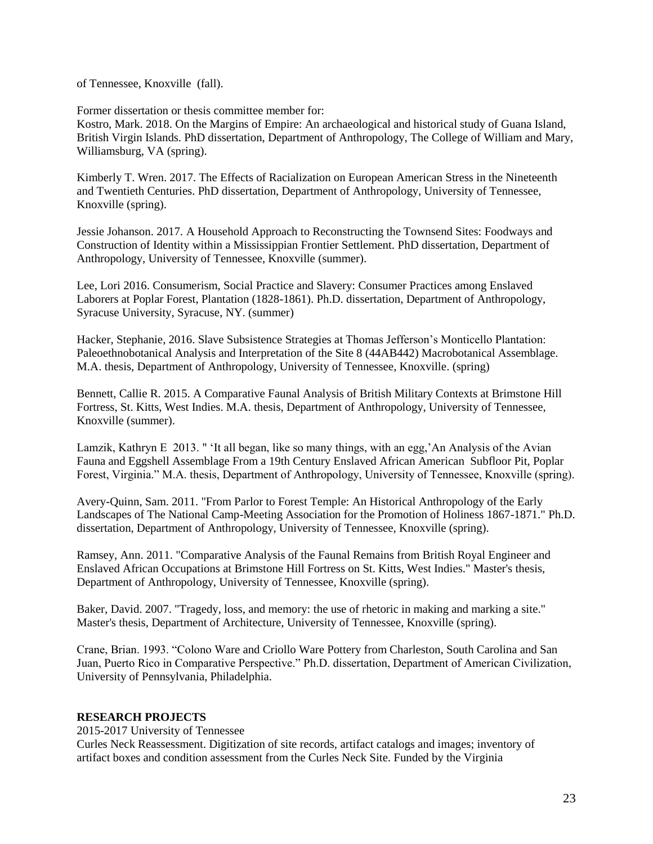of Tennessee, Knoxville (fall).

Former dissertation or thesis committee member for:

Kostro, Mark. 2018. On the Margins of Empire: An archaeological and historical study of Guana Island, British Virgin Islands. PhD dissertation, Department of Anthropology, The College of William and Mary, Williamsburg, VA (spring).

Kimberly T. Wren. 2017. The Effects of Racialization on European American Stress in the Nineteenth and Twentieth Centuries. PhD dissertation, Department of Anthropology, University of Tennessee, Knoxville (spring).

Jessie Johanson. 2017. A Household Approach to Reconstructing the Townsend Sites: Foodways and Construction of Identity within a Mississippian Frontier Settlement. PhD dissertation, Department of Anthropology, University of Tennessee, Knoxville (summer).

Lee, Lori 2016. Consumerism, Social Practice and Slavery: Consumer Practices among Enslaved Laborers at Poplar Forest, Plantation (1828-1861). Ph.D. dissertation, Department of Anthropology, Syracuse University, Syracuse, NY. (summer)

Hacker, Stephanie, 2016. Slave Subsistence Strategies at Thomas Jefferson's Monticello Plantation: Paleoethnobotanical Analysis and Interpretation of the Site 8 (44AB442) Macrobotanical Assemblage. M.A. thesis, Department of Anthropology, University of Tennessee, Knoxville. (spring)

Bennett, Callie R. 2015. A Comparative Faunal Analysis of British Military Contexts at Brimstone Hill Fortress, St. Kitts, West Indies. M.A. thesis, Department of Anthropology, University of Tennessee, Knoxville (summer).

Lamzik, Kathryn E 2013. " 'It all began, like so many things, with an egg,'An Analysis of the Avian Fauna and Eggshell Assemblage From a 19th Century Enslaved African American Subfloor Pit, Poplar Forest, Virginia." M.A. thesis, Department of Anthropology, University of Tennessee, Knoxville (spring).

Avery-Quinn, Sam. 2011. "From Parlor to Forest Temple: An Historical Anthropology of the Early Landscapes of The National Camp-Meeting Association for the Promotion of Holiness 1867-1871." Ph.D. dissertation, Department of Anthropology, University of Tennessee, Knoxville (spring).

Ramsey, Ann. 2011. "Comparative Analysis of the Faunal Remains from British Royal Engineer and Enslaved African Occupations at Brimstone Hill Fortress on St. Kitts, West Indies." Master's thesis, Department of Anthropology, University of Tennessee, Knoxville (spring).

Baker, David. 2007. "Tragedy, loss, and memory: the use of rhetoric in making and marking a site." Master's thesis, Department of Architecture, University of Tennessee, Knoxville (spring).

Crane, Brian. 1993. "Colono Ware and Criollo Ware Pottery from Charleston, South Carolina and San Juan, Puerto Rico in Comparative Perspective." Ph.D. dissertation, Department of American Civilization, University of Pennsylvania, Philadelphia.

## **RESEARCH PROJECTS**

2015-2017 University of Tennessee

Curles Neck Reassessment. Digitization of site records, artifact catalogs and images; inventory of artifact boxes and condition assessment from the Curles Neck Site. Funded by the Virginia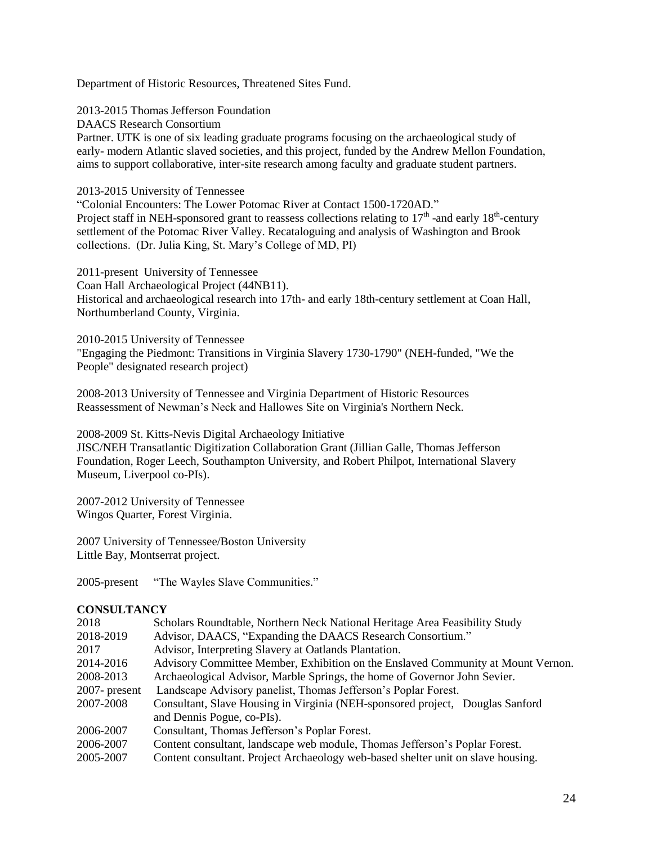Department of Historic Resources, Threatened Sites Fund.

2013-2015 Thomas Jefferson Foundation

DAACS Research Consortium

Partner. UTK is one of six leading graduate programs focusing on the archaeological study of early- modern Atlantic slaved societies, and this project, funded by the Andrew Mellon Foundation, aims to support collaborative, inter-site research among faculty and graduate student partners.

2013-2015 University of Tennessee

"Colonial Encounters: The Lower Potomac River at Contact 1500-1720AD." Project staff in NEH-sponsored grant to reassess collections relating to  $17<sup>th</sup>$  -and early 18<sup>th</sup>-century settlement of the Potomac River Valley. Recataloguing and analysis of Washington and Brook collections. (Dr. Julia King, St. Mary's College of MD, PI)

2011-present University of Tennessee Coan Hall Archaeological Project (44NB11). Historical and archaeological research into 17th- and early 18th-century settlement at Coan Hall, Northumberland County, Virginia.

2010-2015 University of Tennessee

"Engaging the Piedmont: Transitions in Virginia Slavery 1730-1790" (NEH-funded, "We the People" designated research project)

2008-2013 University of Tennessee and Virginia Department of Historic Resources Reassessment of Newman's Neck and Hallowes Site on Virginia's Northern Neck.

2008-2009 St. Kitts-Nevis Digital Archaeology Initiative

JISC/NEH Transatlantic Digitization Collaboration Grant (Jillian Galle, Thomas Jefferson Foundation, Roger Leech, Southampton University, and Robert Philpot, International Slavery Museum, Liverpool co-PIs).

2007-2012 University of Tennessee Wingos Quarter, Forest Virginia.

2007 University of Tennessee/Boston University Little Bay, Montserrat project.

2005-present "The Wayles Slave Communities."

# **CONSULTANCY**

| 2018             | Scholars Roundtable, Northern Neck National Heritage Area Feasibility Study      |
|------------------|----------------------------------------------------------------------------------|
| 2018-2019        | Advisor, DAACS, "Expanding the DAACS Research Consortium."                       |
| 2017             | Advisor, Interpreting Slavery at Oatlands Plantation.                            |
| 2014-2016        | Advisory Committee Member, Exhibition on the Enslaved Community at Mount Vernon. |
| 2008-2013        | Archaeological Advisor, Marble Springs, the home of Governor John Sevier.        |
| $2007$ - present | Landscape Advisory panelist, Thomas Jefferson's Poplar Forest.                   |
| 2007-2008        | Consultant, Slave Housing in Virginia (NEH-sponsored project, Douglas Sanford    |
|                  | and Dennis Pogue, co-PIs).                                                       |
| 2006-2007        | Consultant, Thomas Jefferson's Poplar Forest.                                    |
| 2006-2007        | Content consultant, landscape web module, Thomas Jefferson's Poplar Forest.      |
| 2005-2007        | Content consultant. Project Archaeology web-based shelter unit on slave housing. |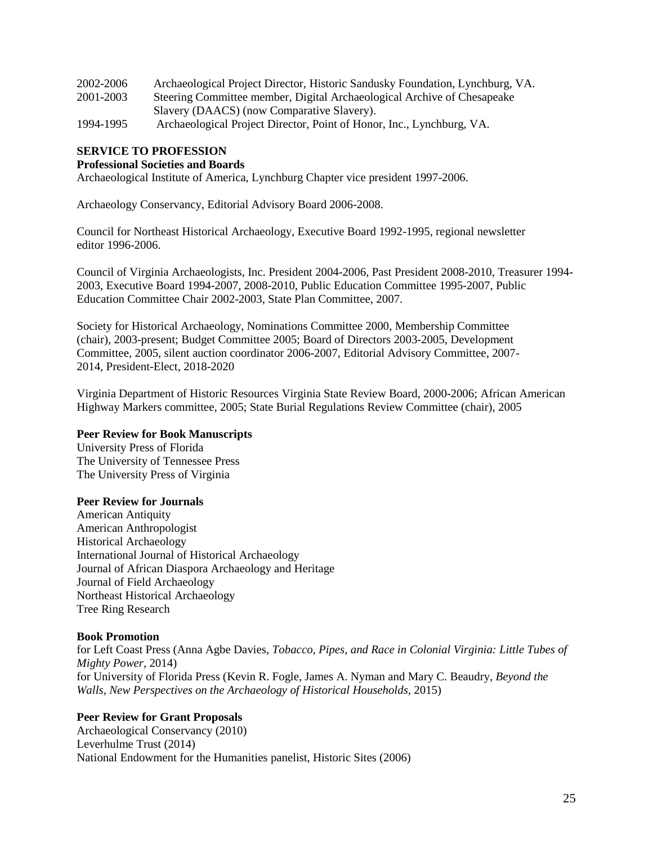| 2002-2006 | Archaeological Project Director, Historic Sandusky Foundation, Lynchburg, VA. |
|-----------|-------------------------------------------------------------------------------|
| 2001-2003 | Steering Committee member, Digital Archaeological Archive of Chesapeake       |
|           | Slavery (DAACS) (now Comparative Slavery).                                    |
| 1994-1995 | Archaeological Project Director, Point of Honor, Inc., Lynchburg, VA.         |

## **SERVICE TO PROFESSION**

#### **Professional Societies and Boards**

Archaeological Institute of America, Lynchburg Chapter vice president 1997-2006.

Archaeology Conservancy, Editorial Advisory Board 2006-2008.

Council for Northeast Historical Archaeology, Executive Board 1992-1995, regional newsletter editor 1996-2006.

Council of Virginia Archaeologists, Inc. President 2004-2006, Past President 2008-2010, Treasurer 1994- 2003, Executive Board 1994-2007, 2008-2010, Public Education Committee 1995-2007, Public Education Committee Chair 2002-2003, State Plan Committee, 2007.

Society for Historical Archaeology, Nominations Committee 2000, Membership Committee (chair), 2003-present; Budget Committee 2005; Board of Directors 2003-2005, Development Committee, 2005, silent auction coordinator 2006-2007, Editorial Advisory Committee, 2007- 2014, President-Elect, 2018-2020

Virginia Department of Historic Resources Virginia State Review Board, 2000-2006; African American Highway Markers committee, 2005; State Burial Regulations Review Committee (chair), 2005

### **Peer Review for Book Manuscripts**

University Press of Florida The University of Tennessee Press The University Press of Virginia

#### **Peer Review for Journals**

American Antiquity American Anthropologist Historical Archaeology International Journal of Historical Archaeology Journal of African Diaspora Archaeology and Heritage Journal of Field Archaeology Northeast Historical Archaeology Tree Ring Research

#### **Book Promotion**

for Left Coast Press (Anna Agbe Davies, *Tobacco, Pipes, and Race in Colonial Virginia: Little Tubes of Mighty Power,* 2014) for University of Florida Press (Kevin R. Fogle, James A. Nyman and Mary C. Beaudry, *Beyond the Walls, New Perspectives on the Archaeology of Historical Households,* 2015)

#### **Peer Review for Grant Proposals**

Archaeological Conservancy (2010) Leverhulme Trust (2014) National Endowment for the Humanities panelist, Historic Sites (2006)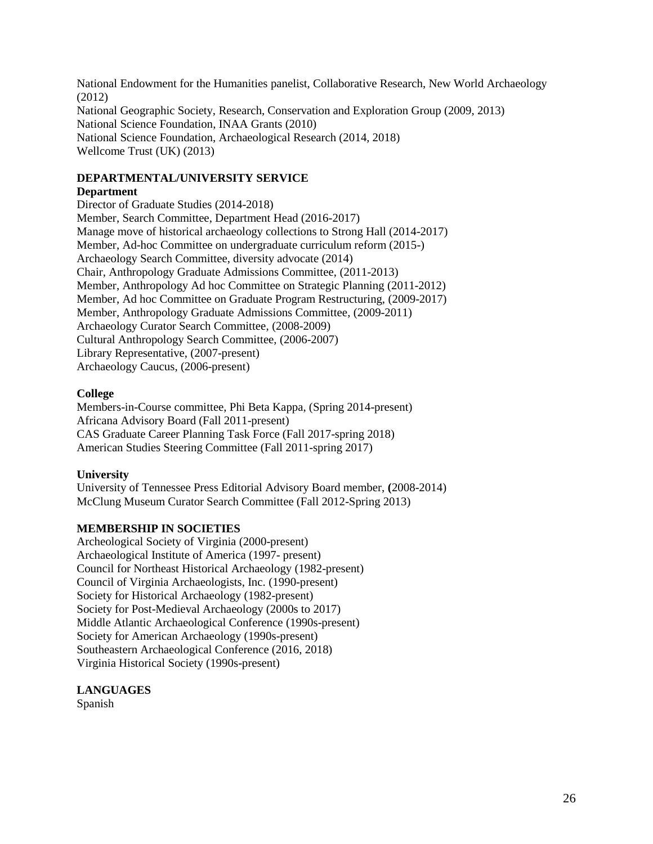National Endowment for the Humanities panelist, Collaborative Research, New World Archaeology (2012) National Geographic Society, Research, Conservation and Exploration Group (2009, 2013) National Science Foundation, INAA Grants (2010) National Science Foundation, Archaeological Research (2014, 2018) Wellcome Trust (UK) (2013)

# **DEPARTMENTAL/UNIVERSITY SERVICE**

## **Department**

Director of Graduate Studies (2014-2018) Member, Search Committee, Department Head (2016-2017) Manage move of historical archaeology collections to Strong Hall (2014-2017) Member, Ad-hoc Committee on undergraduate curriculum reform (2015-) Archaeology Search Committee, diversity advocate (2014) Chair, Anthropology Graduate Admissions Committee, (2011-2013) Member, Anthropology Ad hoc Committee on Strategic Planning (2011-2012) Member, Ad hoc Committee on Graduate Program Restructuring, (2009-2017) Member, Anthropology Graduate Admissions Committee, (2009-2011) Archaeology Curator Search Committee, (2008-2009) Cultural Anthropology Search Committee, (2006-2007) Library Representative, (2007-present) Archaeology Caucus, (2006-present)

## **College**

Members-in-Course committee, Phi Beta Kappa, (Spring 2014-present) Africana Advisory Board (Fall 2011-present) CAS Graduate Career Planning Task Force (Fall 2017-spring 2018) American Studies Steering Committee (Fall 2011-spring 2017)

# **University**

University of Tennessee Press Editorial Advisory Board member, **(**2008-2014) McClung Museum Curator Search Committee (Fall 2012-Spring 2013)

# **MEMBERSHIP IN SOCIETIES**

Archeological Society of Virginia (2000-present) Archaeological Institute of America (1997- present) Council for Northeast Historical Archaeology (1982-present) Council of Virginia Archaeologists, Inc. (1990-present) Society for Historical Archaeology (1982-present) Society for Post-Medieval Archaeology (2000s to 2017) Middle Atlantic Archaeological Conference (1990s-present) Society for American Archaeology (1990s-present) Southeastern Archaeological Conference (2016, 2018) Virginia Historical Society (1990s-present)

**LANGUAGES** Spanish